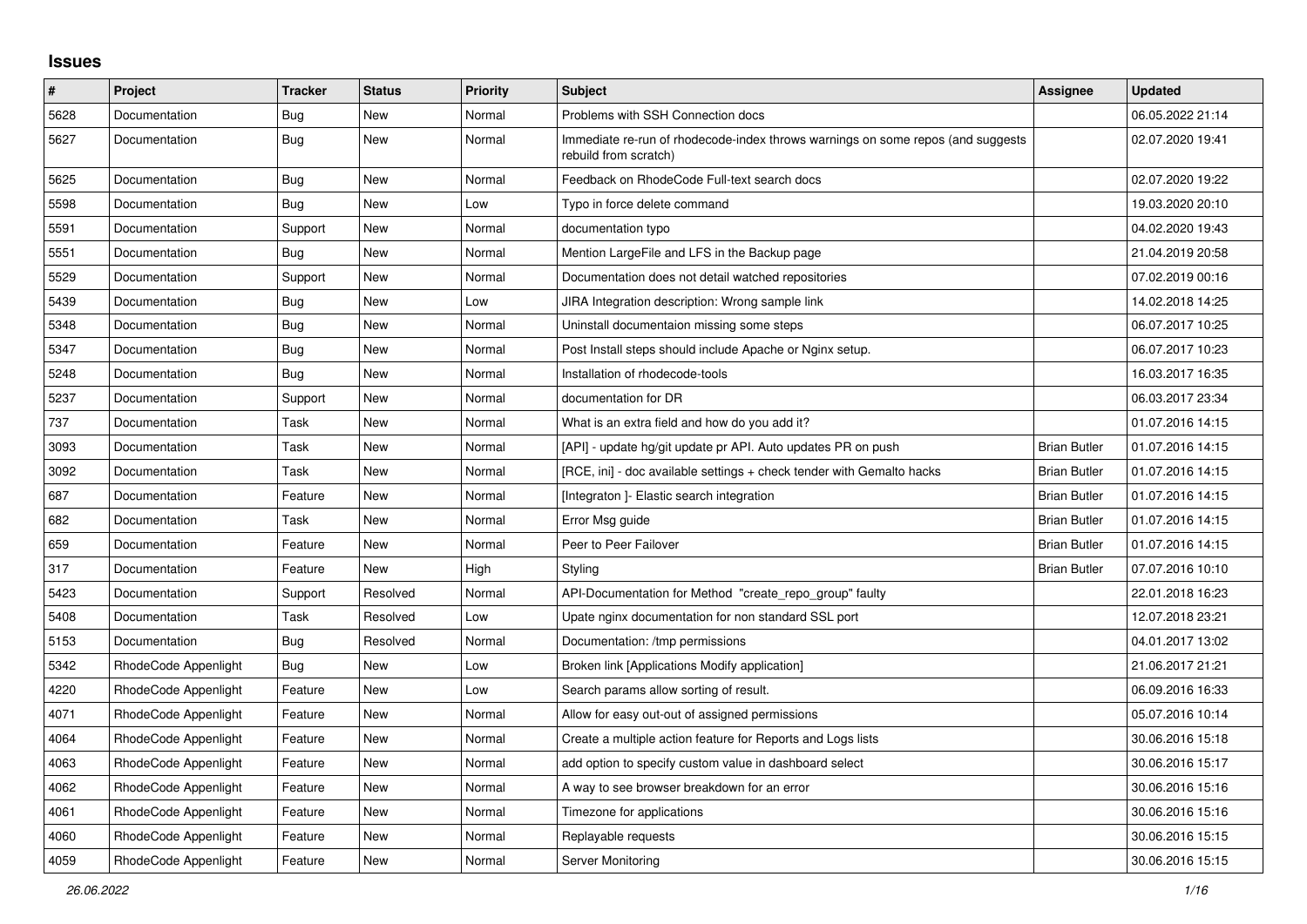## **Issues**

| $\#$ | Project              | <b>Tracker</b> | <b>Status</b> | <b>Priority</b> | <b>Subject</b>                                                                                           | Assignee            | <b>Updated</b>   |
|------|----------------------|----------------|---------------|-----------------|----------------------------------------------------------------------------------------------------------|---------------------|------------------|
| 5628 | Documentation        | Bug            | New           | Normal          | Problems with SSH Connection docs                                                                        |                     | 06.05.2022 21:14 |
| 5627 | Documentation        | Bug            | <b>New</b>    | Normal          | Immediate re-run of rhodecode-index throws warnings on some repos (and suggests<br>rebuild from scratch) |                     | 02.07.2020 19:41 |
| 5625 | Documentation        | <b>Bug</b>     | New           | Normal          | Feedback on RhodeCode Full-text search docs                                                              |                     | 02.07.2020 19:22 |
| 5598 | Documentation        | <b>Bug</b>     | New           | Low             | Typo in force delete command                                                                             |                     | 19.03.2020 20:10 |
| 5591 | Documentation        | Support        | New           | Normal          | documentation typo                                                                                       |                     | 04.02.2020 19:43 |
| 5551 | Documentation        | Bug            | New           | Normal          | Mention LargeFile and LFS in the Backup page                                                             |                     | 21.04.2019 20:58 |
| 5529 | Documentation        | Support        | New           | Normal          | Documentation does not detail watched repositories                                                       |                     | 07.02.2019 00:16 |
| 5439 | Documentation        | <b>Bug</b>     | New           | Low             | JIRA Integration description: Wrong sample link                                                          |                     | 14.02.2018 14:25 |
| 5348 | Documentation        | Bug            | New           | Normal          | Uninstall documentaion missing some steps                                                                |                     | 06.07.2017 10:25 |
| 5347 | Documentation        | Bug            | New           | Normal          | Post Install steps should include Apache or Nginx setup.                                                 |                     | 06.07.2017 10:23 |
| 5248 | Documentation        | Bug            | <b>New</b>    | Normal          | Installation of rhodecode-tools                                                                          |                     | 16.03.2017 16:35 |
| 5237 | Documentation        | Support        | <b>New</b>    | Normal          | documentation for DR                                                                                     |                     | 06.03.2017 23:34 |
| 737  | Documentation        | Task           | New           | Normal          | What is an extra field and how do you add it?                                                            |                     | 01.07.2016 14:15 |
| 3093 | Documentation        | Task           | New           | Normal          | [API] - update hg/git update pr API. Auto updates PR on push                                             | <b>Brian Butler</b> | 01.07.2016 14:15 |
| 3092 | Documentation        | Task           | New           | Normal          | [RCE, ini] - doc available settings + check tender with Gemalto hacks                                    | <b>Brian Butler</b> | 01.07.2016 14:15 |
| 687  | Documentation        | Feature        | <b>New</b>    | Normal          | [Integraton] - Elastic search integration                                                                | <b>Brian Butler</b> | 01.07.2016 14:15 |
| 682  | Documentation        | Task           | <b>New</b>    | Normal          | Error Msg guide                                                                                          | <b>Brian Butler</b> | 01.07.2016 14:15 |
| 659  | Documentation        | Feature        | New           | Normal          | Peer to Peer Failover                                                                                    | <b>Brian Butler</b> | 01.07.2016 14:15 |
| 317  | Documentation        | Feature        | New           | High            | Styling                                                                                                  | <b>Brian Butler</b> | 07.07.2016 10:10 |
| 5423 | Documentation        | Support        | Resolved      | Normal          | API-Documentation for Method "create repo group" faulty                                                  |                     | 22.01.2018 16:23 |
| 5408 | Documentation        | Task           | Resolved      | Low             | Upate nginx documentation for non standard SSL port                                                      |                     | 12.07.2018 23:21 |
| 5153 | Documentation        | Bug            | Resolved      | Normal          | Documentation: /tmp permissions                                                                          |                     | 04.01.2017 13:02 |
| 5342 | RhodeCode Appenlight | Bug            | New           | Low             | Broken link [Applications Modify application]                                                            |                     | 21.06.2017 21:21 |
| 4220 | RhodeCode Appenlight | Feature        | New           | Low             | Search params allow sorting of result.                                                                   |                     | 06.09.2016 16:33 |
| 4071 | RhodeCode Appenlight | Feature        | New           | Normal          | Allow for easy out-out of assigned permissions                                                           |                     | 05.07.2016 10:14 |
| 4064 | RhodeCode Appenlight | Feature        | New           | Normal          | Create a multiple action feature for Reports and Logs lists                                              |                     | 30.06.2016 15:18 |
| 4063 | RhodeCode Appenlight | Feature        | New           | Normal          | add option to specify custom value in dashboard select                                                   |                     | 30.06.2016 15:17 |
| 4062 | RhodeCode Appenlight | Feature        | New           | Normal          | A way to see browser breakdown for an error                                                              |                     | 30.06.2016 15:16 |
| 4061 | RhodeCode Appenlight | Feature        | New           | Normal          | Timezone for applications                                                                                |                     | 30.06.2016 15:16 |
| 4060 | RhodeCode Appenlight | Feature        | New           | Normal          | Replayable requests                                                                                      |                     | 30.06.2016 15:15 |
| 4059 | RhodeCode Appenlight | Feature        | <b>New</b>    | Normal          | Server Monitoring                                                                                        |                     | 30.06.2016 15:15 |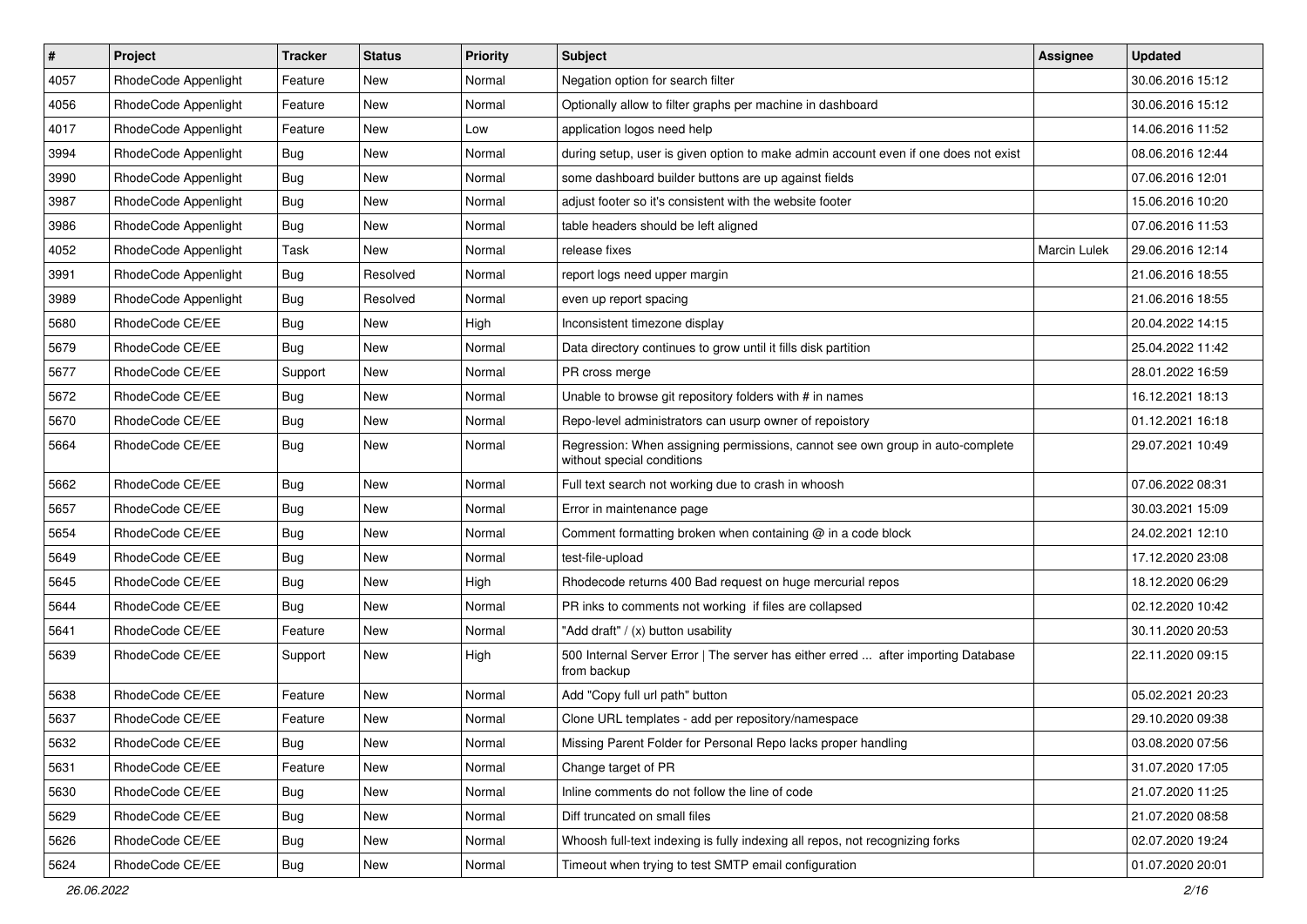| $\vert$ # | Project              | <b>Tracker</b> | <b>Status</b> | Priority | <b>Subject</b>                                                                                              | <b>Assignee</b> | <b>Updated</b>   |
|-----------|----------------------|----------------|---------------|----------|-------------------------------------------------------------------------------------------------------------|-----------------|------------------|
| 4057      | RhodeCode Appenlight | Feature        | New           | Normal   | Negation option for search filter                                                                           |                 | 30.06.2016 15:12 |
| 4056      | RhodeCode Appenlight | Feature        | <b>New</b>    | Normal   | Optionally allow to filter graphs per machine in dashboard                                                  |                 | 30.06.2016 15:12 |
| 4017      | RhodeCode Appenlight | Feature        | New           | Low      | application logos need help                                                                                 |                 | 14.06.2016 11:52 |
| 3994      | RhodeCode Appenlight | Bug            | New           | Normal   | during setup, user is given option to make admin account even if one does not exist                         |                 | 08.06.2016 12:44 |
| 3990      | RhodeCode Appenlight | Bug            | New           | Normal   | some dashboard builder buttons are up against fields                                                        |                 | 07.06.2016 12:01 |
| 3987      | RhodeCode Appenlight | <b>Bug</b>     | New           | Normal   | adjust footer so it's consistent with the website footer                                                    |                 | 15.06.2016 10:20 |
| 3986      | RhodeCode Appenlight | Bug            | New           | Normal   | table headers should be left aligned                                                                        |                 | 07.06.2016 11:53 |
| 4052      | RhodeCode Appenlight | Task           | New           | Normal   | release fixes                                                                                               | Marcin Lulek    | 29.06.2016 12:14 |
| 3991      | RhodeCode Appenlight | Bug            | Resolved      | Normal   | report logs need upper margin                                                                               |                 | 21.06.2016 18:55 |
| 3989      | RhodeCode Appenlight | Bug            | Resolved      | Normal   | even up report spacing                                                                                      |                 | 21.06.2016 18:55 |
| 5680      | RhodeCode CE/EE      | <b>Bug</b>     | New           | High     | Inconsistent timezone display                                                                               |                 | 20.04.2022 14:15 |
| 5679      | RhodeCode CE/EE      | Bug            | New           | Normal   | Data directory continues to grow until it fills disk partition                                              |                 | 25.04.2022 11:42 |
| 5677      | RhodeCode CE/EE      | Support        | <b>New</b>    | Normal   | PR cross merge                                                                                              |                 | 28.01.2022 16:59 |
| 5672      | RhodeCode CE/EE      | <b>Bug</b>     | New           | Normal   | Unable to browse git repository folders with # in names                                                     |                 | 16.12.2021 18:13 |
| 5670      | RhodeCode CE/EE      | <b>Bug</b>     | New           | Normal   | Repo-level administrators can usurp owner of repoistory                                                     |                 | 01.12.2021 16:18 |
| 5664      | RhodeCode CE/EE      | Bug            | New           | Normal   | Regression: When assigning permissions, cannot see own group in auto-complete<br>without special conditions |                 | 29.07.2021 10:49 |
| 5662      | RhodeCode CE/EE      | Bug            | New           | Normal   | Full text search not working due to crash in whoosh                                                         |                 | 07.06.2022 08:31 |
| 5657      | RhodeCode CE/EE      | <b>Bug</b>     | New           | Normal   | Error in maintenance page                                                                                   |                 | 30.03.2021 15:09 |
| 5654      | RhodeCode CE/EE      | Bug            | New           | Normal   | Comment formatting broken when containing @ in a code block                                                 |                 | 24.02.2021 12:10 |
| 5649      | RhodeCode CE/EE      | Bug            | New           | Normal   | test-file-upload                                                                                            |                 | 17.12.2020 23:08 |
| 5645      | RhodeCode CE/EE      | <b>Bug</b>     | New           | High     | Rhodecode returns 400 Bad request on huge mercurial repos                                                   |                 | 18.12.2020 06:29 |
| 5644      | RhodeCode CE/EE      | Bug            | New           | Normal   | PR inks to comments not working if files are collapsed                                                      |                 | 02.12.2020 10:42 |
| 5641      | RhodeCode CE/EE      | Feature        | New           | Normal   | "Add draft" / (x) button usability                                                                          |                 | 30.11.2020 20:53 |
| 5639      | RhodeCode CE/EE      | Support        | New           | High     | 500 Internal Server Error   The server has either erred  after importing Database<br>from backup            |                 | 22.11.2020 09:15 |
| 5638      | RhodeCode CE/EE      | Feature        | New           | Normal   | Add "Copy full url path" button                                                                             |                 | 05.02.2021 20:23 |
| 5637      | RhodeCode CE/EE      | Feature        | New           | Normal   | Clone URL templates - add per repository/namespace                                                          |                 | 29.10.2020 09:38 |
| 5632      | RhodeCode CE/EE      | Bug            | New           | Normal   | Missing Parent Folder for Personal Repo lacks proper handling                                               |                 | 03.08.2020 07:56 |
| 5631      | RhodeCode CE/EE      | Feature        | New           | Normal   | Change target of PR                                                                                         |                 | 31.07.2020 17:05 |
| 5630      | RhodeCode CE/EE      | Bug            | New           | Normal   | Inline comments do not follow the line of code                                                              |                 | 21.07.2020 11:25 |
| 5629      | RhodeCode CE/EE      | <b>Bug</b>     | New           | Normal   | Diff truncated on small files                                                                               |                 | 21.07.2020 08:58 |
| 5626      | RhodeCode CE/EE      | Bug            | New           | Normal   | Whoosh full-text indexing is fully indexing all repos, not recognizing forks                                |                 | 02.07.2020 19:24 |
| 5624      | RhodeCode CE/EE      | <b>Bug</b>     | New           | Normal   | Timeout when trying to test SMTP email configuration                                                        |                 | 01.07.2020 20:01 |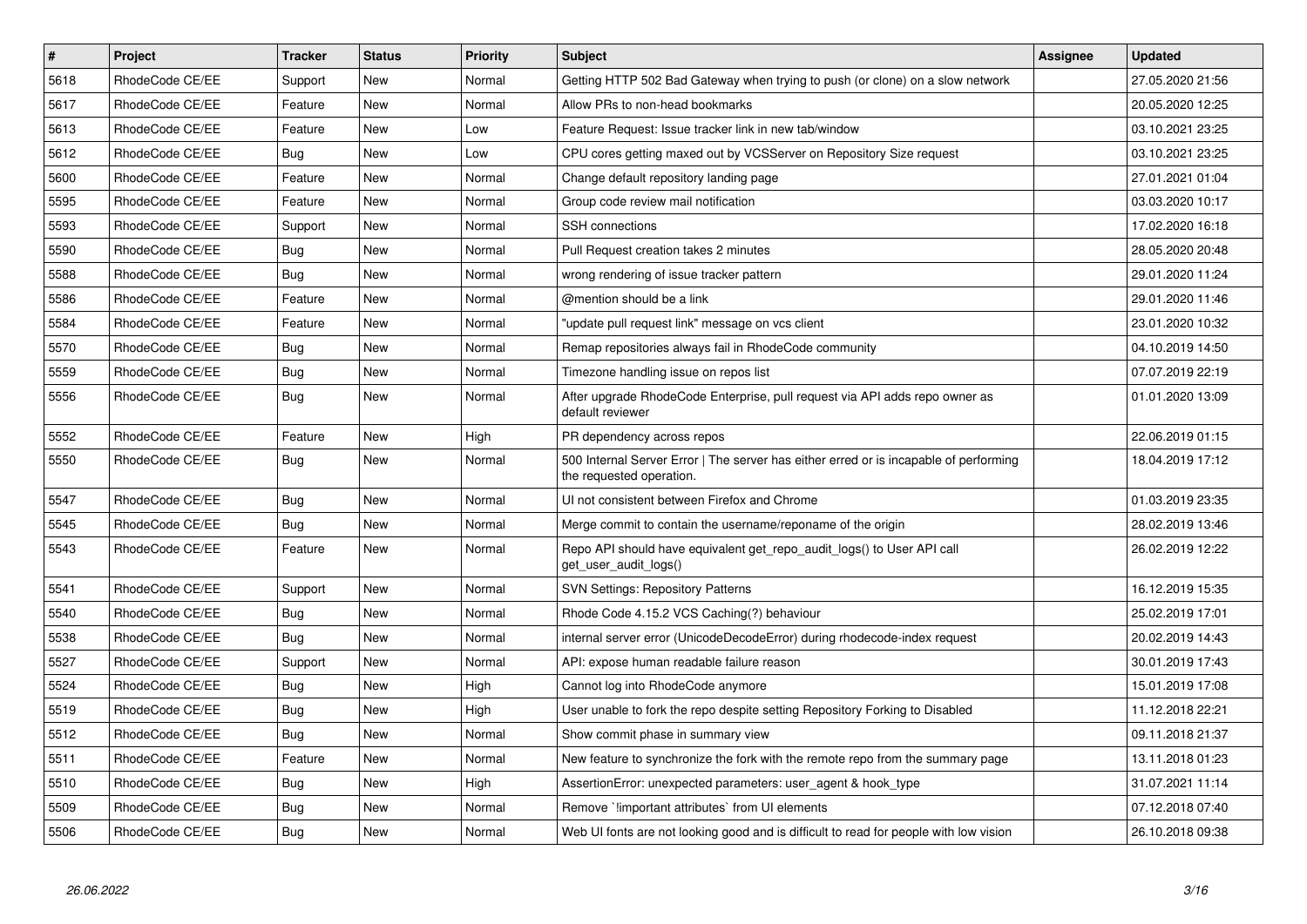| $\sharp$ | <b>Project</b>  | <b>Tracker</b> | <b>Status</b> | Priority | <b>Subject</b>                                                                                                    | <b>Assignee</b> | <b>Updated</b>   |
|----------|-----------------|----------------|---------------|----------|-------------------------------------------------------------------------------------------------------------------|-----------------|------------------|
| 5618     | RhodeCode CE/EE | Support        | <b>New</b>    | Normal   | Getting HTTP 502 Bad Gateway when trying to push (or clone) on a slow network                                     |                 | 27.05.2020 21:56 |
| 5617     | RhodeCode CE/EE | Feature        | New           | Normal   | Allow PRs to non-head bookmarks                                                                                   |                 | 20.05.2020 12:25 |
| 5613     | RhodeCode CE/EE | Feature        | New           | Low      | Feature Request: Issue tracker link in new tab/window                                                             |                 | 03.10.2021 23:25 |
| 5612     | RhodeCode CE/EE | Bug            | <b>New</b>    | Low      | CPU cores getting maxed out by VCSServer on Repository Size request                                               |                 | 03.10.2021 23:25 |
| 5600     | RhodeCode CE/EE | Feature        | New           | Normal   | Change default repository landing page                                                                            |                 | 27.01.2021 01:04 |
| 5595     | RhodeCode CE/EE | Feature        | <b>New</b>    | Normal   | Group code review mail notification                                                                               |                 | 03.03.2020 10:17 |
| 5593     | RhodeCode CE/EE | Support        | New           | Normal   | <b>SSH</b> connections                                                                                            |                 | 17.02.2020 16:18 |
| 5590     | RhodeCode CE/EE | Bug            | New           | Normal   | Pull Request creation takes 2 minutes                                                                             |                 | 28.05.2020 20:48 |
| 5588     | RhodeCode CE/EE | Bug            | <b>New</b>    | Normal   | wrong rendering of issue tracker pattern                                                                          |                 | 29.01.2020 11:24 |
| 5586     | RhodeCode CE/EE | Feature        | New           | Normal   | @mention should be a link                                                                                         |                 | 29.01.2020 11:46 |
| 5584     | RhodeCode CE/EE | Feature        | <b>New</b>    | Normal   | "update pull request link" message on vcs client                                                                  |                 | 23.01.2020 10:32 |
| 5570     | RhodeCode CE/EE | <b>Bug</b>     | <b>New</b>    | Normal   | Remap repositories always fail in RhodeCode community                                                             |                 | 04.10.2019 14:50 |
| 5559     | RhodeCode CE/EE | Bug            | <b>New</b>    | Normal   | Timezone handling issue on repos list                                                                             |                 | 07.07.2019 22:19 |
| 5556     | RhodeCode CE/EE | <b>Bug</b>     | New           | Normal   | After upgrade RhodeCode Enterprise, pull request via API adds repo owner as<br>default reviewer                   |                 | 01.01.2020 13:09 |
| 5552     | RhodeCode CE/EE | Feature        | <b>New</b>    | High     | PR dependency across repos                                                                                        |                 | 22.06.2019 01:15 |
| 5550     | RhodeCode CE/EE | <b>Bug</b>     | New           | Normal   | 500 Internal Server Error   The server has either erred or is incapable of performing<br>the requested operation. |                 | 18.04.2019 17:12 |
| 5547     | RhodeCode CE/EE | Bug            | <b>New</b>    | Normal   | UI not consistent between Firefox and Chrome                                                                      |                 | 01.03.2019 23:35 |
| 5545     | RhodeCode CE/EE | Bug            | New           | Normal   | Merge commit to contain the username/reponame of the origin                                                       |                 | 28.02.2019 13:46 |
| 5543     | RhodeCode CE/EE | Feature        | <b>New</b>    | Normal   | Repo API should have equivalent get repo audit logs() to User API call<br>get user audit logs()                   |                 | 26.02.2019 12:22 |
| 5541     | RhodeCode CE/EE | Support        | New           | Normal   | <b>SVN Settings: Repository Patterns</b>                                                                          |                 | 16.12.2019 15:35 |
| 5540     | RhodeCode CE/EE | Bug            | <b>New</b>    | Normal   | Rhode Code 4.15.2 VCS Caching(?) behaviour                                                                        |                 | 25.02.2019 17:01 |
| 5538     | RhodeCode CE/EE | <b>Bug</b>     | <b>New</b>    | Normal   | internal server error (UnicodeDecodeError) during rhodecode-index request                                         |                 | 20.02.2019 14:43 |
| 5527     | RhodeCode CE/EE | Support        | <b>New</b>    | Normal   | API: expose human readable failure reason                                                                         |                 | 30.01.2019 17:43 |
| 5524     | RhodeCode CE/EE | Bug            | New           | High     | Cannot log into RhodeCode anymore                                                                                 |                 | 15.01.2019 17:08 |
| 5519     | RhodeCode CE/EE | Bug            | <b>New</b>    | High     | User unable to fork the repo despite setting Repository Forking to Disabled                                       |                 | 11.12.2018 22:21 |
| 5512     | RhodeCode CE/EE | Bug            | <b>New</b>    | Normal   | Show commit phase in summary view                                                                                 |                 | 09.11.2018 21:37 |
| 5511     | RhodeCode CE/EE | Feature        | <b>New</b>    | Normal   | New feature to synchronize the fork with the remote repo from the summary page                                    |                 | 13.11.2018 01:23 |
| 5510     | RhodeCode CE/EE | Bug            | New           | High     | AssertionError: unexpected parameters: user_agent & hook_type                                                     |                 | 31.07.2021 11:14 |
| 5509     | RhodeCode CE/EE | Bug            | New           | Normal   | Remove `limportant attributes` from UI elements                                                                   |                 | 07.12.2018 07:40 |
| 5506     | RhodeCode CE/EE | Bug            | New           | Normal   | Web UI fonts are not looking good and is difficult to read for people with low vision                             |                 | 26.10.2018 09:38 |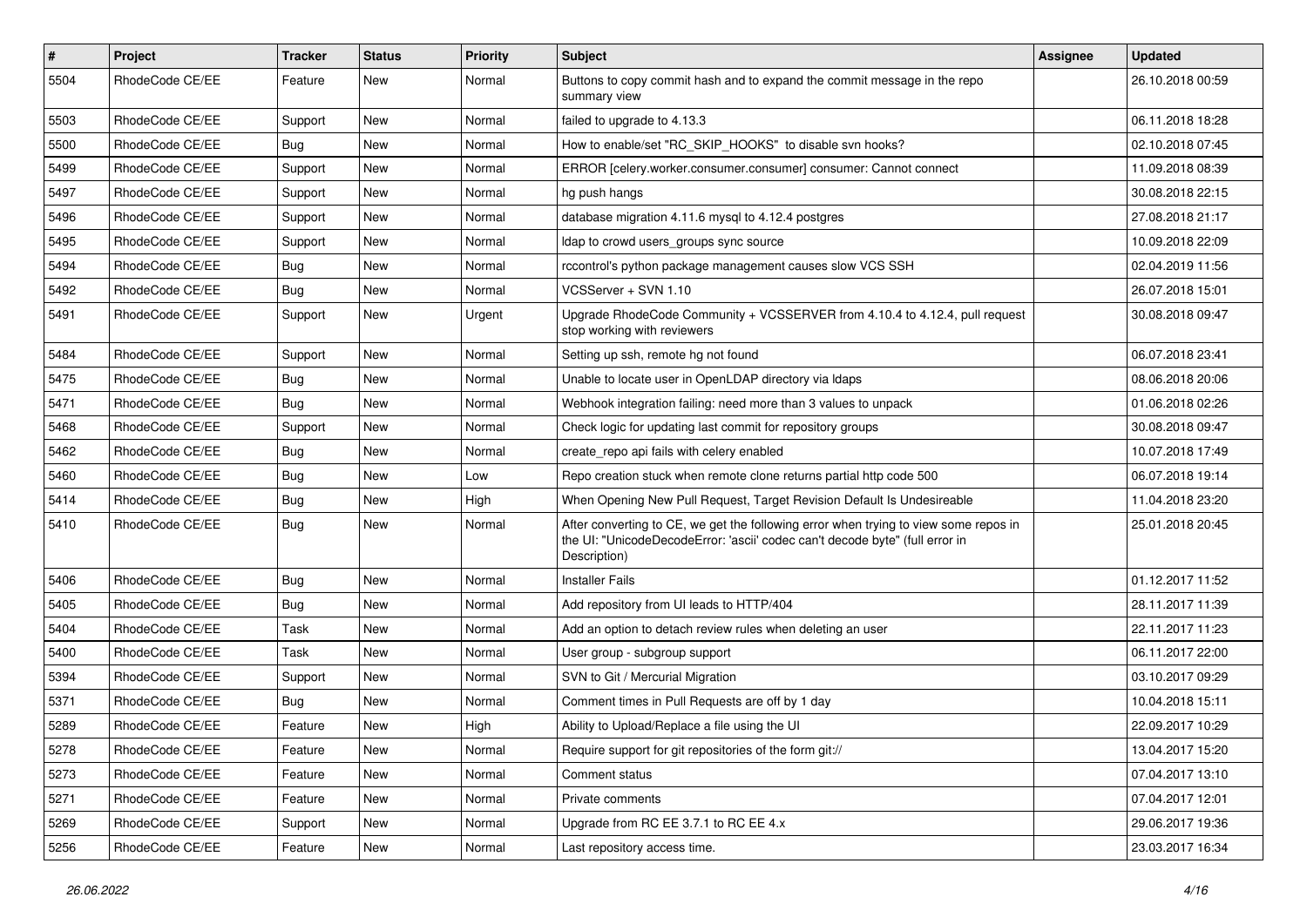| #    | <b>Project</b>  | <b>Tracker</b> | <b>Status</b> | Priority | <b>Subject</b>                                                                                                                                                                       | Assignee | <b>Updated</b>   |
|------|-----------------|----------------|---------------|----------|--------------------------------------------------------------------------------------------------------------------------------------------------------------------------------------|----------|------------------|
| 5504 | RhodeCode CE/EE | Feature        | New           | Normal   | Buttons to copy commit hash and to expand the commit message in the repo<br>summary view                                                                                             |          | 26.10.2018 00:59 |
| 5503 | RhodeCode CE/EE | Support        | New           | Normal   | failed to upgrade to 4.13.3                                                                                                                                                          |          | 06.11.2018 18:28 |
| 5500 | RhodeCode CE/EE | <b>Bug</b>     | <b>New</b>    | Normal   | How to enable/set "RC_SKIP_HOOKS" to disable svn hooks?                                                                                                                              |          | 02.10.2018 07:45 |
| 5499 | RhodeCode CE/EE | Support        | <b>New</b>    | Normal   | ERROR [celery.worker.consumer.consumer] consumer: Cannot connect                                                                                                                     |          | 11.09.2018 08:39 |
| 5497 | RhodeCode CE/EE | Support        | New           | Normal   | hg push hangs                                                                                                                                                                        |          | 30.08.2018 22:15 |
| 5496 | RhodeCode CE/EE | Support        | New           | Normal   | database migration 4.11.6 mysql to 4.12.4 postgres                                                                                                                                   |          | 27.08.2018 21:17 |
| 5495 | RhodeCode CE/EE | Support        | New           | Normal   | Idap to crowd users groups sync source                                                                                                                                               |          | 10.09.2018 22:09 |
| 5494 | RhodeCode CE/EE | Bug            | New           | Normal   | rccontrol's python package management causes slow VCS SSH                                                                                                                            |          | 02.04.2019 11:56 |
| 5492 | RhodeCode CE/EE | Bug            | <b>New</b>    | Normal   | VCSServer + SVN 1.10                                                                                                                                                                 |          | 26.07.2018 15:01 |
| 5491 | RhodeCode CE/EE | Support        | New           | Urgent   | Upgrade RhodeCode Community + VCSSERVER from 4.10.4 to 4.12.4, pull request<br>stop working with reviewers                                                                           |          | 30.08.2018 09:47 |
| 5484 | RhodeCode CE/EE | Support        | <b>New</b>    | Normal   | Setting up ssh, remote hg not found                                                                                                                                                  |          | 06.07.2018 23:41 |
| 5475 | RhodeCode CE/EE | <b>Bug</b>     | New           | Normal   | Unable to locate user in OpenLDAP directory via Idaps                                                                                                                                |          | 08.06.2018 20:06 |
| 5471 | RhodeCode CE/EE | Bug            | <b>New</b>    | Normal   | Webhook integration failing: need more than 3 values to unpack                                                                                                                       |          | 01.06.2018 02:26 |
| 5468 | RhodeCode CE/EE | Support        | New           | Normal   | Check logic for updating last commit for repository groups                                                                                                                           |          | 30.08.2018 09:47 |
| 5462 | RhodeCode CE/EE | Bug            | New           | Normal   | create_repo api fails with celery enabled                                                                                                                                            |          | 10.07.2018 17:49 |
| 5460 | RhodeCode CE/EE | Bug            | <b>New</b>    | Low      | Repo creation stuck when remote clone returns partial http code 500                                                                                                                  |          | 06.07.2018 19:14 |
| 5414 | RhodeCode CE/EE | <b>Bug</b>     | <b>New</b>    | High     | When Opening New Pull Request, Target Revision Default Is Undesireable                                                                                                               |          | 11.04.2018 23:20 |
| 5410 | RhodeCode CE/EE | Bug            | New           | Normal   | After converting to CE, we get the following error when trying to view some repos in<br>the UI: "UnicodeDecodeError: 'ascii' codec can't decode byte" (full error in<br>Description) |          | 25.01.2018 20:45 |
| 5406 | RhodeCode CE/EE | Bug            | <b>New</b>    | Normal   | <b>Installer Fails</b>                                                                                                                                                               |          | 01.12.2017 11:52 |
| 5405 | RhodeCode CE/EE | Bug            | New           | Normal   | Add repository from UI leads to HTTP/404                                                                                                                                             |          | 28.11.2017 11:39 |
| 5404 | RhodeCode CE/EE | Task           | <b>New</b>    | Normal   | Add an option to detach review rules when deleting an user                                                                                                                           |          | 22.11.2017 11:23 |
| 5400 | RhodeCode CE/EE | Task           | <b>New</b>    | Normal   | User group - subgroup support                                                                                                                                                        |          | 06.11.2017 22:00 |
| 5394 | RhodeCode CE/EE | Support        | New           | Normal   | SVN to Git / Mercurial Migration                                                                                                                                                     |          | 03.10.2017 09:29 |
| 5371 | RhodeCode CE/EE | Bug            | New           | Normal   | Comment times in Pull Requests are off by 1 day                                                                                                                                      |          | 10.04.2018 15:11 |
| 5289 | RhodeCode CE/EE | Feature        | <b>New</b>    | High     | Ability to Upload/Replace a file using the UI                                                                                                                                        |          | 22.09.2017 10:29 |
| 5278 | RhodeCode CE/EE | Feature        | New           | Normal   | Require support for git repositories of the form git://                                                                                                                              |          | 13.04.2017 15:20 |
| 5273 | RhodeCode CE/EE | Feature        | New           | Normal   | Comment status                                                                                                                                                                       |          | 07.04.2017 13:10 |
| 5271 | RhodeCode CE/EE | Feature        | New           | Normal   | Private comments                                                                                                                                                                     |          | 07.04.2017 12:01 |
| 5269 | RhodeCode CE/EE | Support        | New           | Normal   | Upgrade from RC EE 3.7.1 to RC EE 4.x                                                                                                                                                |          | 29.06.2017 19:36 |
| 5256 | RhodeCode CE/EE | Feature        | New           | Normal   | Last repository access time.                                                                                                                                                         |          | 23.03.2017 16:34 |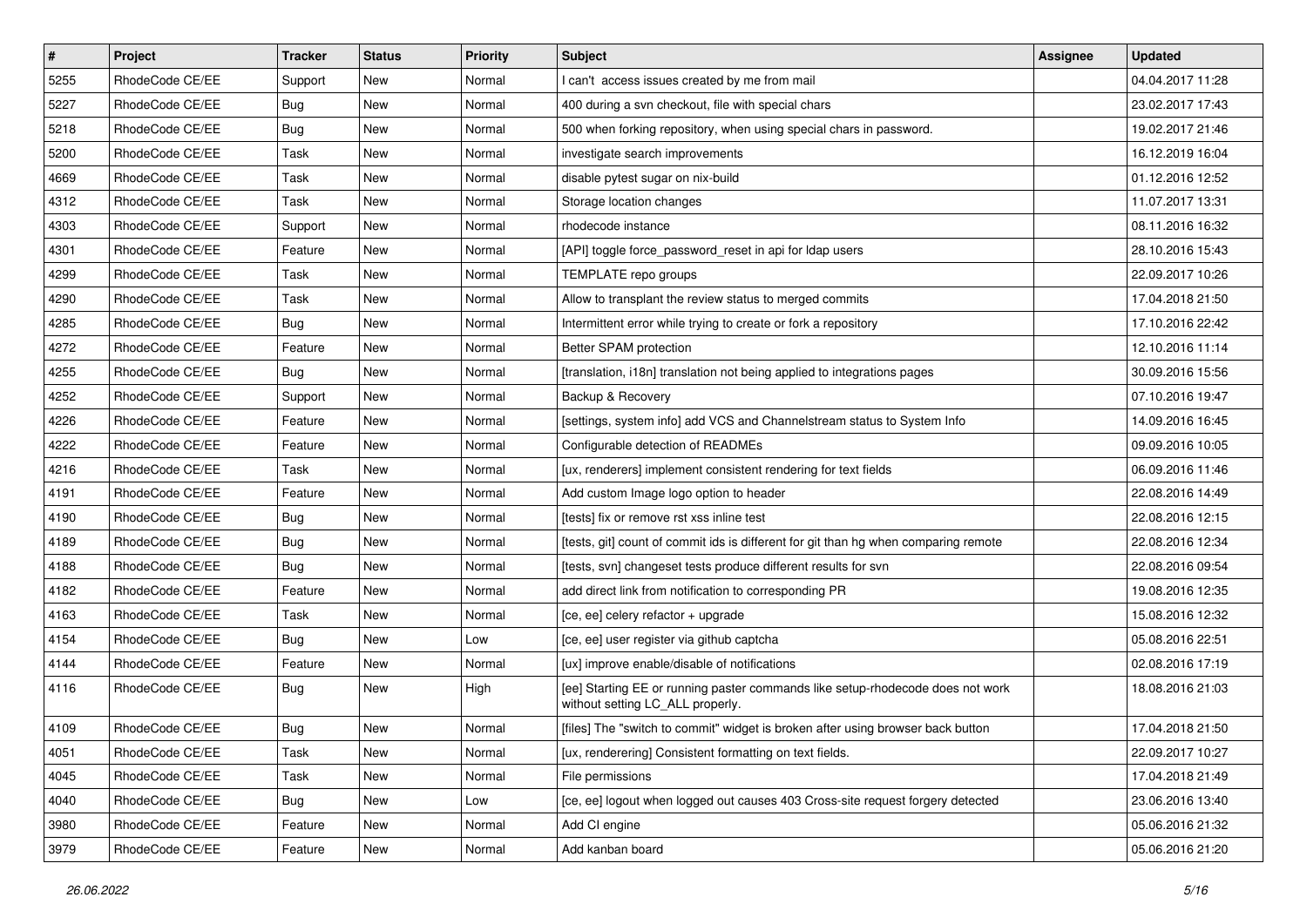| $\pmb{\#}$ | Project         | <b>Tracker</b> | <b>Status</b> | Priority | <b>Subject</b>                                                                                                     | Assignee | <b>Updated</b>   |
|------------|-----------------|----------------|---------------|----------|--------------------------------------------------------------------------------------------------------------------|----------|------------------|
| 5255       | RhodeCode CE/EE | Support        | New           | Normal   | I can't access issues created by me from mail                                                                      |          | 04.04.2017 11:28 |
| 5227       | RhodeCode CE/EE | <b>Bug</b>     | New           | Normal   | 400 during a svn checkout, file with special chars                                                                 |          | 23.02.2017 17:43 |
| 5218       | RhodeCode CE/EE | Bug            | New           | Normal   | 500 when forking repository, when using special chars in password.                                                 |          | 19.02.2017 21:46 |
| 5200       | RhodeCode CE/EE | Task           | New           | Normal   | investigate search improvements                                                                                    |          | 16.12.2019 16:04 |
| 4669       | RhodeCode CE/EE | <b>Task</b>    | <b>New</b>    | Normal   | disable pytest sugar on nix-build                                                                                  |          | 01.12.2016 12:52 |
| 4312       | RhodeCode CE/EE | Task           | New           | Normal   | Storage location changes                                                                                           |          | 11.07.2017 13:31 |
| 4303       | RhodeCode CE/EE | Support        | <b>New</b>    | Normal   | rhodecode instance                                                                                                 |          | 08.11.2016 16:32 |
| 4301       | RhodeCode CE/EE | Feature        | New           | Normal   | [API] toggle force password reset in api for Idap users                                                            |          | 28.10.2016 15:43 |
| 4299       | RhodeCode CE/EE | Task           | New           | Normal   | TEMPLATE repo groups                                                                                               |          | 22.09.2017 10:26 |
| 4290       | RhodeCode CE/EE | Task           | <b>New</b>    | Normal   | Allow to transplant the review status to merged commits                                                            |          | 17.04.2018 21:50 |
| 4285       | RhodeCode CE/EE | <b>Bug</b>     | New           | Normal   | Intermittent error while trying to create or fork a repository                                                     |          | 17.10.2016 22:42 |
| 4272       | RhodeCode CE/EE | Feature        | New           | Normal   | Better SPAM protection                                                                                             |          | 12.10.2016 11:14 |
| 4255       | RhodeCode CE/EE | Bug            | New           | Normal   | [translation, i18n] translation not being applied to integrations pages                                            |          | 30.09.2016 15:56 |
| 4252       | RhodeCode CE/EE | Support        | New           | Normal   | Backup & Recovery                                                                                                  |          | 07.10.2016 19:47 |
| 4226       | RhodeCode CE/EE | Feature        | <b>New</b>    | Normal   | [settings, system info] add VCS and Channelstream status to System Info                                            |          | 14.09.2016 16:45 |
| 4222       | RhodeCode CE/EE | Feature        | New           | Normal   | Configurable detection of READMEs                                                                                  |          | 09.09.2016 10:05 |
| 4216       | RhodeCode CE/EE | Task           | New           | Normal   | [ux, renderers] implement consistent rendering for text fields                                                     |          | 06.09.2016 11:46 |
| 4191       | RhodeCode CE/EE | Feature        | <b>New</b>    | Normal   | Add custom Image logo option to header                                                                             |          | 22.08.2016 14:49 |
| 4190       | RhodeCode CE/EE | Bug            | New           | Normal   | [tests] fix or remove rst xss inline test                                                                          |          | 22.08.2016 12:15 |
| 4189       | RhodeCode CE/EE | <b>Bug</b>     | New           | Normal   | [tests, git] count of commit ids is different for git than hg when comparing remote                                |          | 22.08.2016 12:34 |
| 4188       | RhodeCode CE/EE | Bug            | New           | Normal   | [tests, svn] changeset tests produce different results for svn                                                     |          | 22.08.2016 09:54 |
| 4182       | RhodeCode CE/EE | Feature        | New           | Normal   | add direct link from notification to corresponding PR                                                              |          | 19.08.2016 12:35 |
| 4163       | RhodeCode CE/EE | <b>Task</b>    | <b>New</b>    | Normal   | [ce, ee] celery refactor + upgrade                                                                                 |          | 15.08.2016 12:32 |
| 4154       | RhodeCode CE/EE | <b>Bug</b>     | New           | Low      | [ce, ee] user register via github captcha                                                                          |          | 05.08.2016 22:51 |
| 4144       | RhodeCode CE/EE | Feature        | <b>New</b>    | Normal   | [ux] improve enable/disable of notifications                                                                       |          | 02.08.2016 17:19 |
| 4116       | RhodeCode CE/EE | Bug            | New           | High     | [ee] Starting EE or running paster commands like setup-rhodecode does not work<br>without setting LC_ALL properly. |          | 18.08.2016 21:03 |
| 4109       | RhodeCode CE/EE | Bug            | <b>New</b>    | Normal   | [files] The "switch to commit" widget is broken after using browser back button                                    |          | 17.04.2018 21:50 |
| 4051       | RhodeCode CE/EE | Task           | New           | Normal   | [ux, renderering] Consistent formatting on text fields.                                                            |          | 22.09.2017 10:27 |
| 4045       | RhodeCode CE/EE | Task           | New           | Normal   | File permissions                                                                                                   |          | 17.04.2018 21:49 |
| 4040       | RhodeCode CE/EE | Bug            | New           | Low      | [ce, ee] logout when logged out causes 403 Cross-site request forgery detected                                     |          | 23.06.2016 13:40 |
| 3980       | RhodeCode CE/EE | Feature        | New           | Normal   | Add CI engine                                                                                                      |          | 05.06.2016 21:32 |
| 3979       | RhodeCode CE/EE | Feature        | New           | Normal   | Add kanban board                                                                                                   |          | 05.06.2016 21:20 |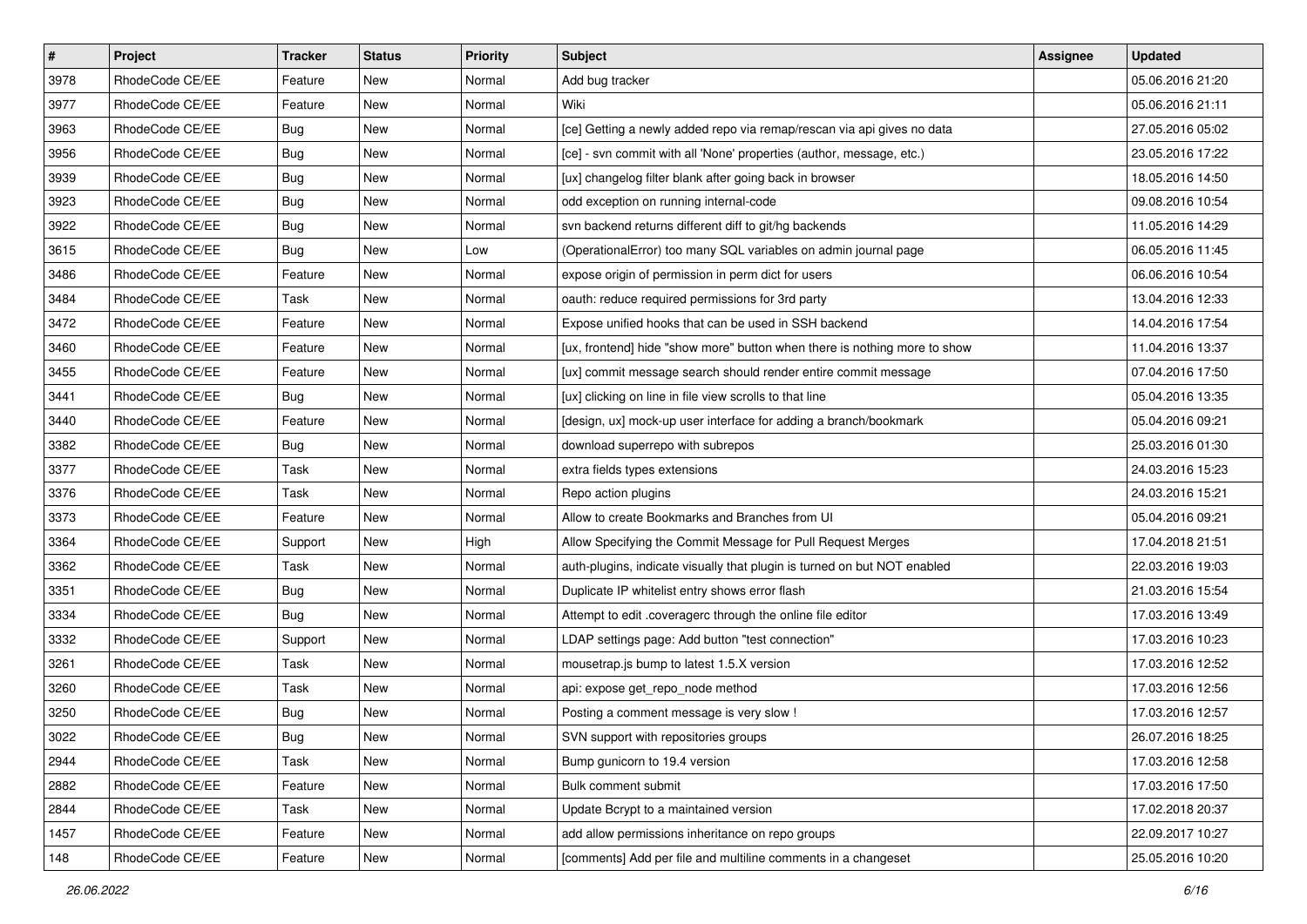| $\vert$ # | Project         | Tracker    | <b>Status</b> | <b>Priority</b> | <b>Subject</b>                                                            | Assignee | <b>Updated</b>   |
|-----------|-----------------|------------|---------------|-----------------|---------------------------------------------------------------------------|----------|------------------|
| 3978      | RhodeCode CE/EE | Feature    | New           | Normal          | Add bug tracker                                                           |          | 05.06.2016 21:20 |
| 3977      | RhodeCode CE/EE | Feature    | <b>New</b>    | Normal          | Wiki                                                                      |          | 05.06.2016 21:11 |
| 3963      | RhodeCode CE/EE | Bug        | New           | Normal          | [ce] Getting a newly added repo via remap/rescan via api gives no data    |          | 27.05.2016 05:02 |
| 3956      | RhodeCode CE/EE | <b>Bug</b> | New           | Normal          | [ce] - svn commit with all 'None' properties (author, message, etc.)      |          | 23.05.2016 17:22 |
| 3939      | RhodeCode CE/EE | Bug        | New           | Normal          | [ux] changelog filter blank after going back in browser                   |          | 18.05.2016 14:50 |
| 3923      | RhodeCode CE/EE | <b>Bug</b> | New           | Normal          | odd exception on running internal-code                                    |          | 09.08.2016 10:54 |
| 3922      | RhodeCode CE/EE | <b>Bug</b> | New           | Normal          | svn backend returns different diff to git/hg backends                     |          | 11.05.2016 14:29 |
| 3615      | RhodeCode CE/EE | Bug        | New           | Low             | (OperationalError) too many SQL variables on admin journal page           |          | 06.05.2016 11:45 |
| 3486      | RhodeCode CE/EE | Feature    | New           | Normal          | expose origin of permission in perm dict for users                        |          | 06.06.2016 10:54 |
| 3484      | RhodeCode CE/EE | Task       | New           | Normal          | oauth: reduce required permissions for 3rd party                          |          | 13.04.2016 12:33 |
| 3472      | RhodeCode CE/EE | Feature    | New           | Normal          | Expose unified hooks that can be used in SSH backend                      |          | 14.04.2016 17:54 |
| 3460      | RhodeCode CE/EE | Feature    | New           | Normal          | [ux, frontend] hide "show more" button when there is nothing more to show |          | 11.04.2016 13:37 |
| 3455      | RhodeCode CE/EE | Feature    | New           | Normal          | [ux] commit message search should render entire commit message            |          | 07.04.2016 17:50 |
| 3441      | RhodeCode CE/EE | <b>Bug</b> | New           | Normal          | [ux] clicking on line in file view scrolls to that line                   |          | 05.04.2016 13:35 |
| 3440      | RhodeCode CE/EE | Feature    | New           | Normal          | [design, ux] mock-up user interface for adding a branch/bookmark          |          | 05.04.2016 09:21 |
| 3382      | RhodeCode CE/EE | Bug        | New           | Normal          | download superrepo with subrepos                                          |          | 25.03.2016 01:30 |
| 3377      | RhodeCode CE/EE | Task       | New           | Normal          | extra fields types extensions                                             |          | 24.03.2016 15:23 |
| 3376      | RhodeCode CE/EE | Task       | New           | Normal          | Repo action plugins                                                       |          | 24.03.2016 15:21 |
| 3373      | RhodeCode CE/EE | Feature    | New           | Normal          | Allow to create Bookmarks and Branches from UI                            |          | 05.04.2016 09:21 |
| 3364      | RhodeCode CE/EE | Support    | New           | High            | Allow Specifying the Commit Message for Pull Request Merges               |          | 17.04.2018 21:51 |
| 3362      | RhodeCode CE/EE | Task       | New           | Normal          | auth-plugins, indicate visually that plugin is turned on but NOT enabled  |          | 22.03.2016 19:03 |
| 3351      | RhodeCode CE/EE | <b>Bug</b> | New           | Normal          | Duplicate IP whitelist entry shows error flash                            |          | 21.03.2016 15:54 |
| 3334      | RhodeCode CE/EE | Bug        | New           | Normal          | Attempt to edit .coveragerc through the online file editor                |          | 17.03.2016 13:49 |
| 3332      | RhodeCode CE/EE | Support    | New           | Normal          | LDAP settings page: Add button "test connection"                          |          | 17.03.2016 10:23 |
| 3261      | RhodeCode CE/EE | Task       | New           | Normal          | mousetrap.js bump to latest 1.5.X version                                 |          | 17.03.2016 12:52 |
| 3260      | RhodeCode CE/EE | Task       | New           | Normal          | api: expose get_repo_node method                                          |          | 17.03.2016 12:56 |
| 3250      | RhodeCode CE/EE | <b>Bug</b> | New           | Normal          | Posting a comment message is very slow !                                  |          | 17.03.2016 12:57 |
| 3022      | RhodeCode CE/EE | <b>Bug</b> | New           | Normal          | SVN support with repositories groups                                      |          | 26.07.2016 18:25 |
| 2944      | RhodeCode CE/EE | Task       | New           | Normal          | Bump gunicorn to 19.4 version                                             |          | 17.03.2016 12:58 |
| 2882      | RhodeCode CE/EE | Feature    | New           | Normal          | Bulk comment submit                                                       |          | 17.03.2016 17:50 |
| 2844      | RhodeCode CE/EE | Task       | New           | Normal          | Update Bcrypt to a maintained version                                     |          | 17.02.2018 20:37 |
| 1457      | RhodeCode CE/EE | Feature    | New           | Normal          | add allow permissions inheritance on repo groups                          |          | 22.09.2017 10:27 |
| 148       | RhodeCode CE/EE | Feature    | New           | Normal          | [comments] Add per file and multiline comments in a changeset             |          | 25.05.2016 10:20 |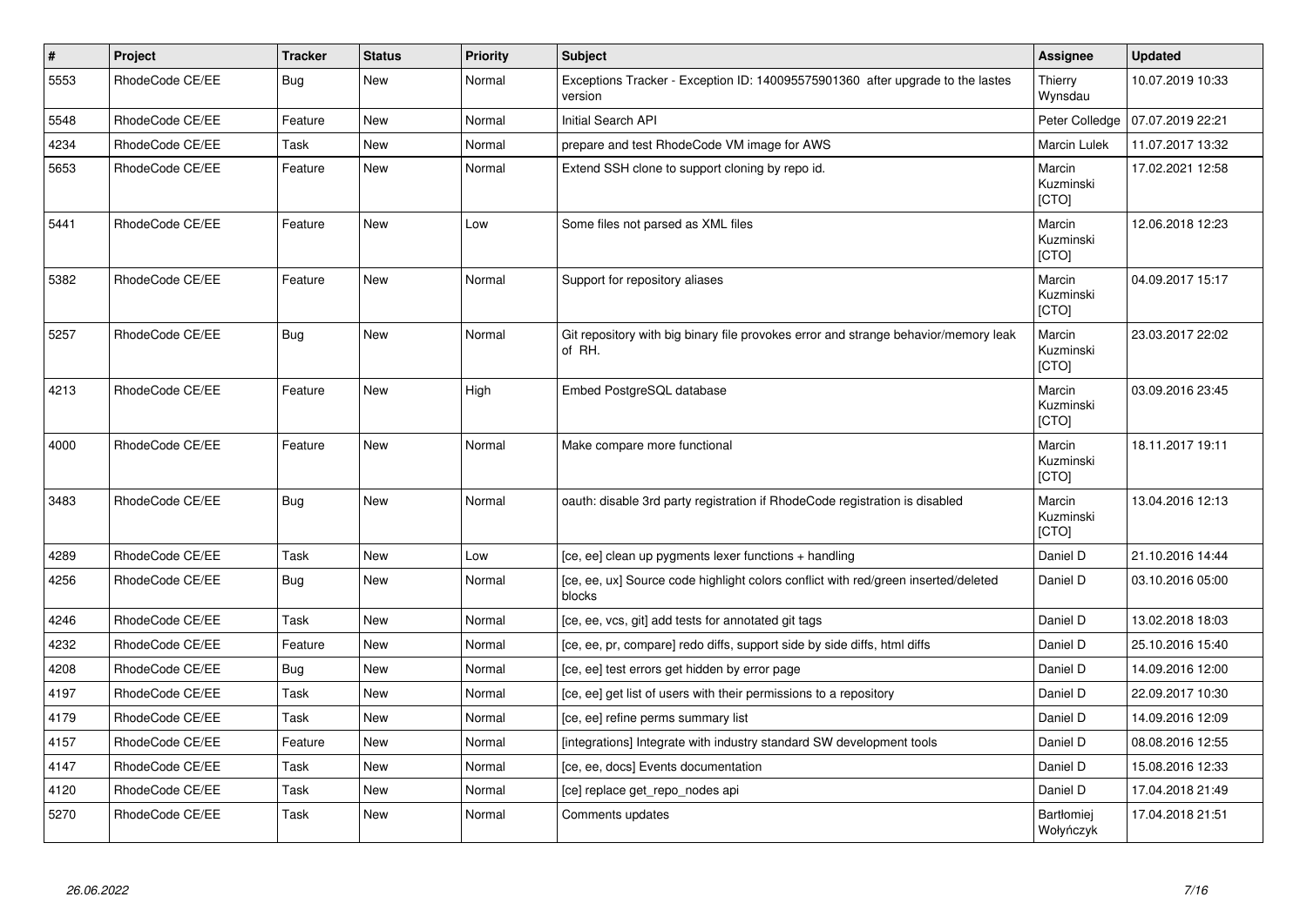| $\vert$ # | Project         | <b>Tracker</b> | <b>Status</b> | Priority | <b>Subject</b>                                                                                | Assignee                            | <b>Updated</b>   |
|-----------|-----------------|----------------|---------------|----------|-----------------------------------------------------------------------------------------------|-------------------------------------|------------------|
| 5553      | RhodeCode CE/EE | Bug            | <b>New</b>    | Normal   | Exceptions Tracker - Exception ID: 140095575901360 after upgrade to the lastes<br>version     | Thierry<br>Wynsdau                  | 10.07.2019 10:33 |
| 5548      | RhodeCode CE/EE | Feature        | <b>New</b>    | Normal   | <b>Initial Search API</b>                                                                     | Peter Colledge                      | 07.07.2019 22:21 |
| 4234      | RhodeCode CE/EE | Task           | <b>New</b>    | Normal   | prepare and test RhodeCode VM image for AWS                                                   | Marcin Lulek                        | 11.07.2017 13:32 |
| 5653      | RhodeCode CE/EE | Feature        | New           | Normal   | Extend SSH clone to support cloning by repo id.                                               | Marcin<br>Kuzminski<br>[CTO]        | 17.02.2021 12:58 |
| 5441      | RhodeCode CE/EE | Feature        | <b>New</b>    | Low      | Some files not parsed as XML files                                                            | Marcin<br>Kuzminski<br>[CTO]        | 12.06.2018 12:23 |
| 5382      | RhodeCode CE/EE | Feature        | <b>New</b>    | Normal   | Support for repository aliases                                                                | Marcin<br>Kuzminski<br><b>[CTO]</b> | 04.09.2017 15:17 |
| 5257      | RhodeCode CE/EE | <b>Bug</b>     | <b>New</b>    | Normal   | Git repository with big binary file provokes error and strange behavior/memory leak<br>of RH. | Marcin<br>Kuzminski<br>[CTO]        | 23.03.2017 22:02 |
| 4213      | RhodeCode CE/EE | Feature        | <b>New</b>    | High     | Embed PostgreSQL database                                                                     | Marcin<br>Kuzminski<br><b>ICTOI</b> | 03.09.2016 23:45 |
| 4000      | RhodeCode CE/EE | Feature        | <b>New</b>    | Normal   | Make compare more functional                                                                  | Marcin<br>Kuzminski<br>[CTO]        | 18.11.2017 19:11 |
| 3483      | RhodeCode CE/EE | <b>Bug</b>     | <b>New</b>    | Normal   | oauth: disable 3rd party registration if RhodeCode registration is disabled                   | Marcin<br>Kuzminski<br>[CTO]        | 13.04.2016 12:13 |
| 4289      | RhodeCode CE/EE | Task           | <b>New</b>    | Low      | [ce, ee] clean up pygments lexer functions + handling                                         | Daniel D                            | 21.10.2016 14:44 |
| 4256      | RhodeCode CE/EE | Bug            | New           | Normal   | [ce, ee, ux] Source code highlight colors conflict with red/green inserted/deleted<br>blocks  | Daniel D                            | 03.10.2016 05:00 |
| 4246      | RhodeCode CE/EE | Task           | <b>New</b>    | Normal   | [ce, ee, vcs, git] add tests for annotated git tags                                           | Daniel D                            | 13.02.2018 18:03 |
| 4232      | RhodeCode CE/EE | Feature        | New           | Normal   | [ce, ee, pr, compare] redo diffs, support side by side diffs, html diffs                      | Daniel D                            | 25.10.2016 15:40 |
| 4208      | RhodeCode CE/EE | Bug            | New           | Normal   | [ce, ee] test errors get hidden by error page                                                 | Daniel D                            | 14.09.2016 12:00 |
| 4197      | RhodeCode CE/EE | Task           | <b>New</b>    | Normal   | [ce, ee] get list of users with their permissions to a repository                             | Daniel D                            | 22.09.2017 10:30 |
| 4179      | RhodeCode CE/EE | Task           | New           | Normal   | [ce, ee] refine perms summary list                                                            | Daniel D                            | 14.09.2016 12:09 |
| 4157      | RhodeCode CE/EE | Feature        | <b>New</b>    | Normal   | [integrations] Integrate with industry standard SW development tools                          | Daniel D                            | 08.08.2016 12:55 |
| 4147      | RhodeCode CE/EE | Task           | <b>New</b>    | Normal   | [ce, ee, docs] Events documentation                                                           | Daniel D                            | 15.08.2016 12:33 |
| 4120      | RhodeCode CE/EE | Task           | <b>New</b>    | Normal   | [ce] replace get_repo_nodes api                                                               | Daniel D                            | 17.04.2018 21:49 |
| 5270      | RhodeCode CE/EE | Task           | <b>New</b>    | Normal   | Comments updates                                                                              | Bartłomiej<br>Wołyńczyk             | 17.04.2018 21:51 |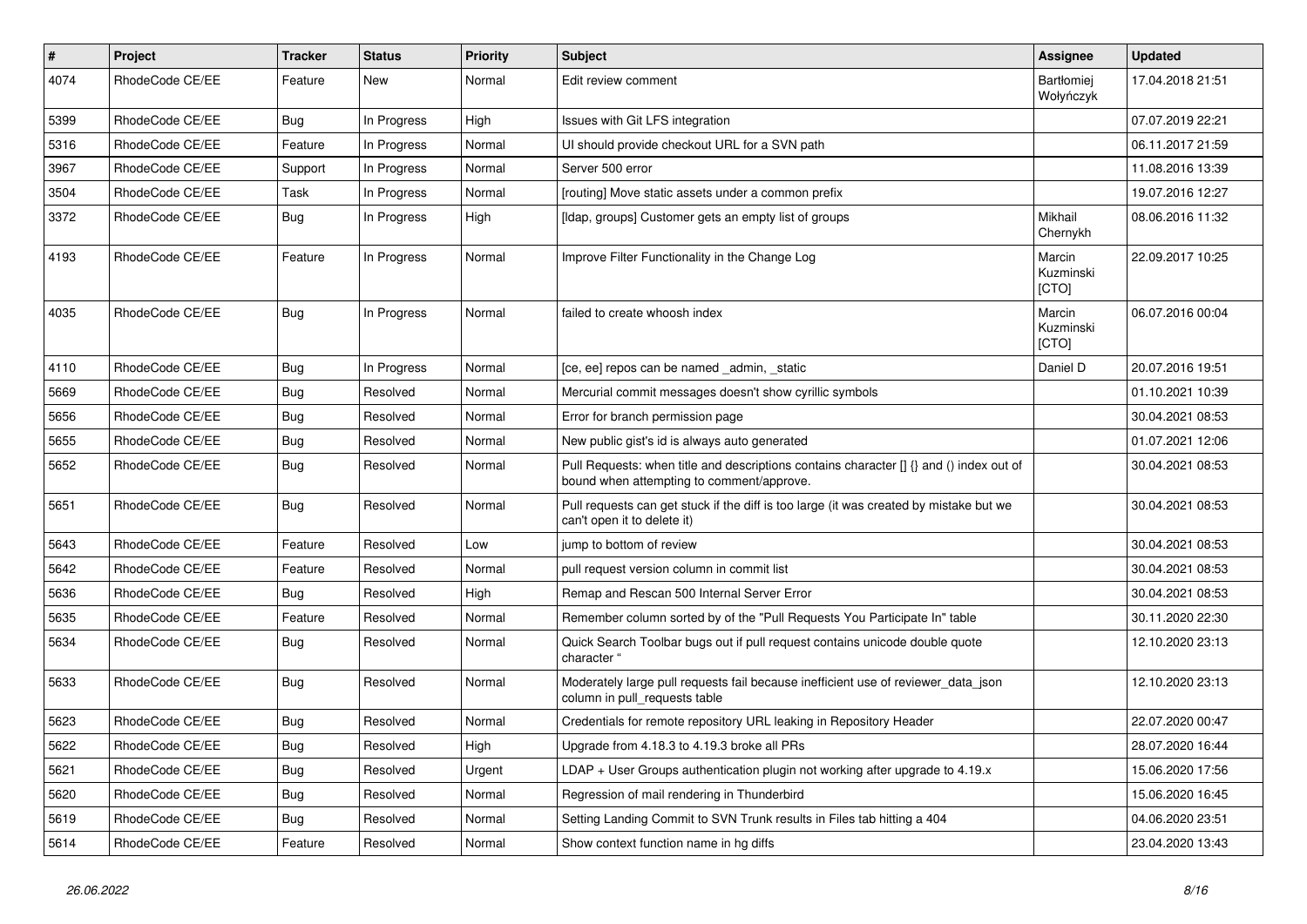| $\vert$ # | <b>Project</b>  | <b>Tracker</b> | <b>Status</b> | <b>Priority</b> | <b>Subject</b>                                                                                                                       | Assignee                       | <b>Updated</b>   |
|-----------|-----------------|----------------|---------------|-----------------|--------------------------------------------------------------------------------------------------------------------------------------|--------------------------------|------------------|
| 4074      | RhodeCode CE/EE | Feature        | <b>New</b>    | Normal          | Edit review comment                                                                                                                  | <b>Bartłomiei</b><br>Wołyńczyk | 17.04.2018 21:51 |
| 5399      | RhodeCode CE/EE | Bug            | In Progress   | High            | Issues with Git LFS integration                                                                                                      |                                | 07.07.2019 22:21 |
| 5316      | RhodeCode CE/EE | Feature        | In Progress   | Normal          | UI should provide checkout URL for a SVN path                                                                                        |                                | 06.11.2017 21:59 |
| 3967      | RhodeCode CE/EE | Support        | In Progress   | Normal          | Server 500 error                                                                                                                     |                                | 11.08.2016 13:39 |
| 3504      | RhodeCode CE/EE | Task           | In Progress   | Normal          | [routing] Move static assets under a common prefix                                                                                   |                                | 19.07.2016 12:27 |
| 3372      | RhodeCode CE/EE | Bug            | In Progress   | High            | [Idap, groups] Customer gets an empty list of groups                                                                                 | Mikhail<br>Chernykh            | 08.06.2016 11:32 |
| 4193      | RhodeCode CE/EE | Feature        | In Progress   | Normal          | Improve Filter Functionality in the Change Log                                                                                       | Marcin<br>Kuzminski<br>[CTO]   | 22.09.2017 10:25 |
| 4035      | RhodeCode CE/EE | Bug            | In Progress   | Normal          | failed to create whoosh index                                                                                                        | Marcin<br>Kuzminski<br>[CTO]   | 06.07.2016 00:04 |
| 4110      | RhodeCode CE/EE | Bua            | In Progress   | Normal          | [ce, ee] repos can be named _admin, _static                                                                                          | Daniel D                       | 20.07.2016 19:51 |
| 5669      | RhodeCode CE/EE | Bug            | Resolved      | Normal          | Mercurial commit messages doesn't show cyrillic symbols                                                                              |                                | 01.10.2021 10:39 |
| 5656      | RhodeCode CE/EE | Bug            | Resolved      | Normal          | Error for branch permission page                                                                                                     |                                | 30.04.2021 08:53 |
| 5655      | RhodeCode CE/EE | Bug            | Resolved      | Normal          | New public gist's id is always auto generated                                                                                        |                                | 01.07.2021 12:06 |
| 5652      | RhodeCode CE/EE | Bug            | Resolved      | Normal          | Pull Requests: when title and descriptions contains character [] {} and () index out of<br>bound when attempting to comment/approve. |                                | 30.04.2021 08:53 |
| 5651      | RhodeCode CE/EE | Bug            | Resolved      | Normal          | Pull requests can get stuck if the diff is too large (it was created by mistake but we<br>can't open it to delete it)                |                                | 30.04.2021 08:53 |
| 5643      | RhodeCode CE/EE | Feature        | Resolved      | Low             | jump to bottom of review                                                                                                             |                                | 30.04.2021 08:53 |
| 5642      | RhodeCode CE/EE | Feature        | Resolved      | Normal          | pull request version column in commit list                                                                                           |                                | 30.04.2021 08:53 |
| 5636      | RhodeCode CE/EE | <b>Bug</b>     | Resolved      | High            | Remap and Rescan 500 Internal Server Error                                                                                           |                                | 30.04.2021 08:53 |
| 5635      | RhodeCode CE/EE | Feature        | Resolved      | Normal          | Remember column sorted by of the "Pull Requests You Participate In" table                                                            |                                | 30.11.2020 22:30 |
| 5634      | RhodeCode CE/EE | Bug            | Resolved      | Normal          | Quick Search Toolbar bugs out if pull request contains unicode double quote<br>character "                                           |                                | 12.10.2020 23:13 |
| 5633      | RhodeCode CE/EE | Bug            | Resolved      | Normal          | Moderately large pull requests fail because inefficient use of reviewer_data_json<br>column in pull requests table                   |                                | 12.10.2020 23:13 |
| 5623      | RhodeCode CE/EE | Bug            | Resolved      | Normal          | Credentials for remote repository URL leaking in Repository Header                                                                   |                                | 22.07.2020 00:47 |
| 5622      | RhodeCode CE/EE | Bug            | Resolved      | High            | Upgrade from 4.18.3 to 4.19.3 broke all PRs                                                                                          |                                | 28.07.2020 16:44 |
| 5621      | RhodeCode CE/EE | Bug            | Resolved      | Urgent          | LDAP + User Groups authentication plugin not working after upgrade to 4.19.x                                                         |                                | 15.06.2020 17:56 |
| 5620      | RhodeCode CE/EE | Bug            | Resolved      | Normal          | Regression of mail rendering in Thunderbird                                                                                          |                                | 15.06.2020 16:45 |
| 5619      | RhodeCode CE/EE | Bug            | Resolved      | Normal          | Setting Landing Commit to SVN Trunk results in Files tab hitting a 404                                                               |                                | 04.06.2020 23:51 |
| 5614      | RhodeCode CE/EE | Feature        | Resolved      | Normal          | Show context function name in hg diffs                                                                                               |                                | 23.04.2020 13:43 |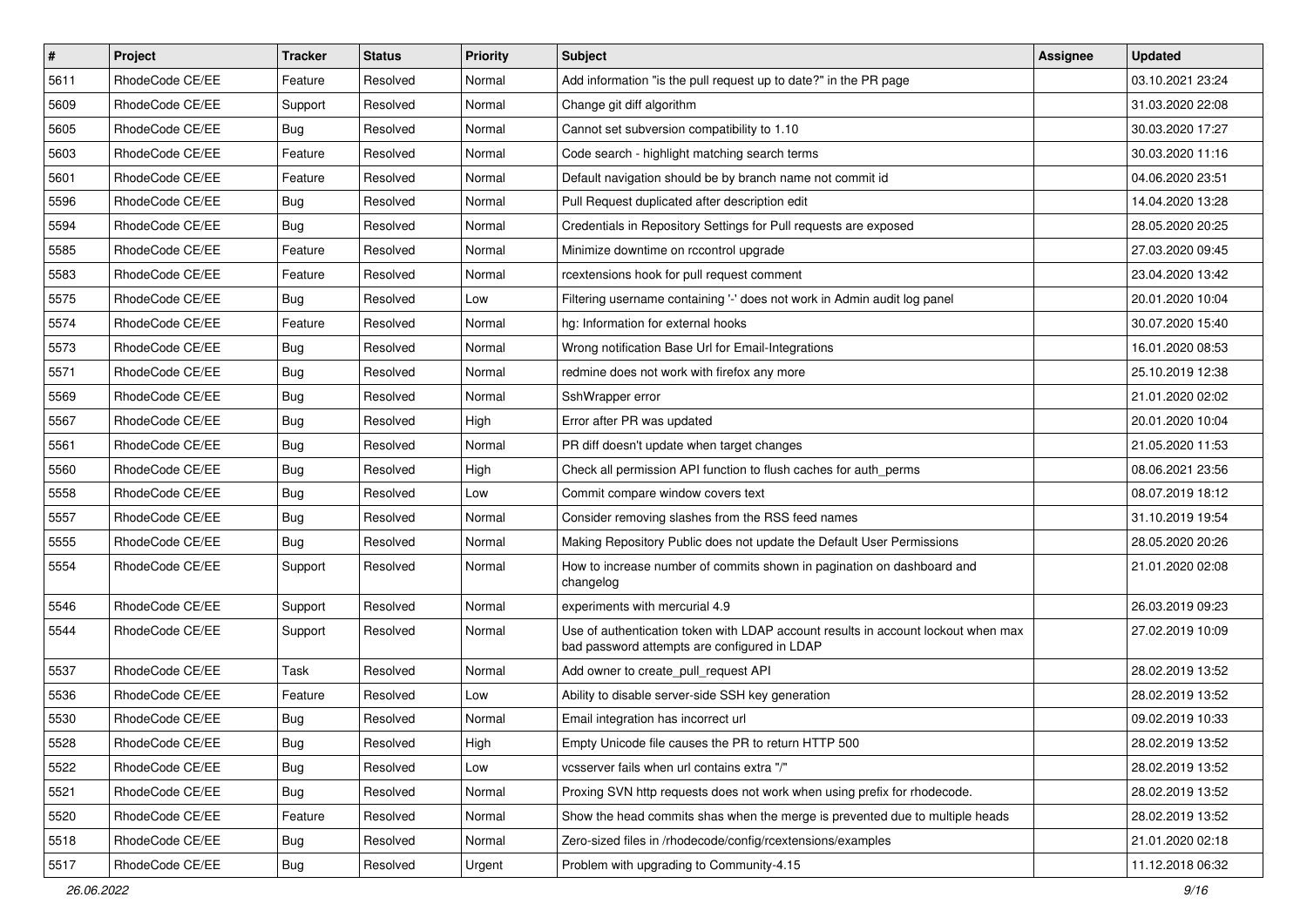| $\vert$ # | Project         | Tracker    | <b>Status</b> | <b>Priority</b> | Subject                                                                                                                           | <b>Assignee</b> | <b>Updated</b>   |
|-----------|-----------------|------------|---------------|-----------------|-----------------------------------------------------------------------------------------------------------------------------------|-----------------|------------------|
| 5611      | RhodeCode CE/EE | Feature    | Resolved      | Normal          | Add information "is the pull request up to date?" in the PR page                                                                  |                 | 03.10.2021 23:24 |
| 5609      | RhodeCode CE/EE | Support    | Resolved      | Normal          | Change git diff algorithm                                                                                                         |                 | 31.03.2020 22:08 |
| 5605      | RhodeCode CE/EE | Bug        | Resolved      | Normal          | Cannot set subversion compatibility to 1.10                                                                                       |                 | 30.03.2020 17:27 |
| 5603      | RhodeCode CE/EE | Feature    | Resolved      | Normal          | Code search - highlight matching search terms                                                                                     |                 | 30.03.2020 11:16 |
| 5601      | RhodeCode CE/EE | Feature    | Resolved      | Normal          | Default navigation should be by branch name not commit id                                                                         |                 | 04.06.2020 23:51 |
| 5596      | RhodeCode CE/EE | Bug        | Resolved      | Normal          | Pull Request duplicated after description edit                                                                                    |                 | 14.04.2020 13:28 |
| 5594      | RhodeCode CE/EE | <b>Bug</b> | Resolved      | Normal          | Credentials in Repository Settings for Pull requests are exposed                                                                  |                 | 28.05.2020 20:25 |
| 5585      | RhodeCode CE/EE | Feature    | Resolved      | Normal          | Minimize downtime on rccontrol upgrade                                                                                            |                 | 27.03.2020 09:45 |
| 5583      | RhodeCode CE/EE | Feature    | Resolved      | Normal          | rcextensions hook for pull request comment                                                                                        |                 | 23.04.2020 13:42 |
| 5575      | RhodeCode CE/EE | <b>Bug</b> | Resolved      | Low             | Filtering username containing '-' does not work in Admin audit log panel                                                          |                 | 20.01.2020 10:04 |
| 5574      | RhodeCode CE/EE | Feature    | Resolved      | Normal          | hg: Information for external hooks                                                                                                |                 | 30.07.2020 15:40 |
| 5573      | RhodeCode CE/EE | <b>Bug</b> | Resolved      | Normal          | Wrong notification Base Url for Email-Integrations                                                                                |                 | 16.01.2020 08:53 |
| 5571      | RhodeCode CE/EE | Bug        | Resolved      | Normal          | redmine does not work with firefox any more                                                                                       |                 | 25.10.2019 12:38 |
| 5569      | RhodeCode CE/EE | <b>Bug</b> | Resolved      | Normal          | SshWrapper error                                                                                                                  |                 | 21.01.2020 02:02 |
| 5567      | RhodeCode CE/EE | <b>Bug</b> | Resolved      | High            | Error after PR was updated                                                                                                        |                 | 20.01.2020 10:04 |
| 5561      | RhodeCode CE/EE | <b>Bug</b> | Resolved      | Normal          | PR diff doesn't update when target changes                                                                                        |                 | 21.05.2020 11:53 |
| 5560      | RhodeCode CE/EE | <b>Bug</b> | Resolved      | High            | Check all permission API function to flush caches for auth perms                                                                  |                 | 08.06.2021 23:56 |
| 5558      | RhodeCode CE/EE | <b>Bug</b> | Resolved      | Low             | Commit compare window covers text                                                                                                 |                 | 08.07.2019 18:12 |
| 5557      | RhodeCode CE/EE | <b>Bug</b> | Resolved      | Normal          | Consider removing slashes from the RSS feed names                                                                                 |                 | 31.10.2019 19:54 |
| 5555      | RhodeCode CE/EE | Bug        | Resolved      | Normal          | Making Repository Public does not update the Default User Permissions                                                             |                 | 28.05.2020 20:26 |
| 5554      | RhodeCode CE/EE | Support    | Resolved      | Normal          | How to increase number of commits shown in pagination on dashboard and<br>changelog                                               |                 | 21.01.2020 02:08 |
| 5546      | RhodeCode CE/EE | Support    | Resolved      | Normal          | experiments with mercurial 4.9                                                                                                    |                 | 26.03.2019 09:23 |
| 5544      | RhodeCode CE/EE | Support    | Resolved      | Normal          | Use of authentication token with LDAP account results in account lockout when max<br>bad password attempts are configured in LDAP |                 | 27.02.2019 10:09 |
| 5537      | RhodeCode CE/EE | Task       | Resolved      | Normal          | Add owner to create_pull_request API                                                                                              |                 | 28.02.2019 13:52 |
| 5536      | RhodeCode CE/EE | Feature    | Resolved      | Low             | Ability to disable server-side SSH key generation                                                                                 |                 | 28.02.2019 13:52 |
| 5530      | RhodeCode CE/EE | Bug        | Resolved      | Normal          | Email integration has incorrect url                                                                                               |                 | 09.02.2019 10:33 |
| 5528      | RhodeCode CE/EE | <b>Bug</b> | Resolved      | High            | Empty Unicode file causes the PR to return HTTP 500                                                                               |                 | 28.02.2019 13:52 |
| 5522      | RhodeCode CE/EE | <b>Bug</b> | Resolved      | Low             | vcsserver fails when url contains extra "/"                                                                                       |                 | 28.02.2019 13:52 |
| 5521      | RhodeCode CE/EE | Bug        | Resolved      | Normal          | Proxing SVN http requests does not work when using prefix for rhodecode.                                                          |                 | 28.02.2019 13:52 |
| 5520      | RhodeCode CE/EE | Feature    | Resolved      | Normal          | Show the head commits shas when the merge is prevented due to multiple heads                                                      |                 | 28.02.2019 13:52 |
| 5518      | RhodeCode CE/EE | <b>Bug</b> | Resolved      | Normal          | Zero-sized files in /rhodecode/config/rcextensions/examples                                                                       |                 | 21.01.2020 02:18 |
| 5517      | RhodeCode CE/EE | <b>Bug</b> | Resolved      | Urgent          | Problem with upgrading to Community-4.15                                                                                          |                 | 11.12.2018 06:32 |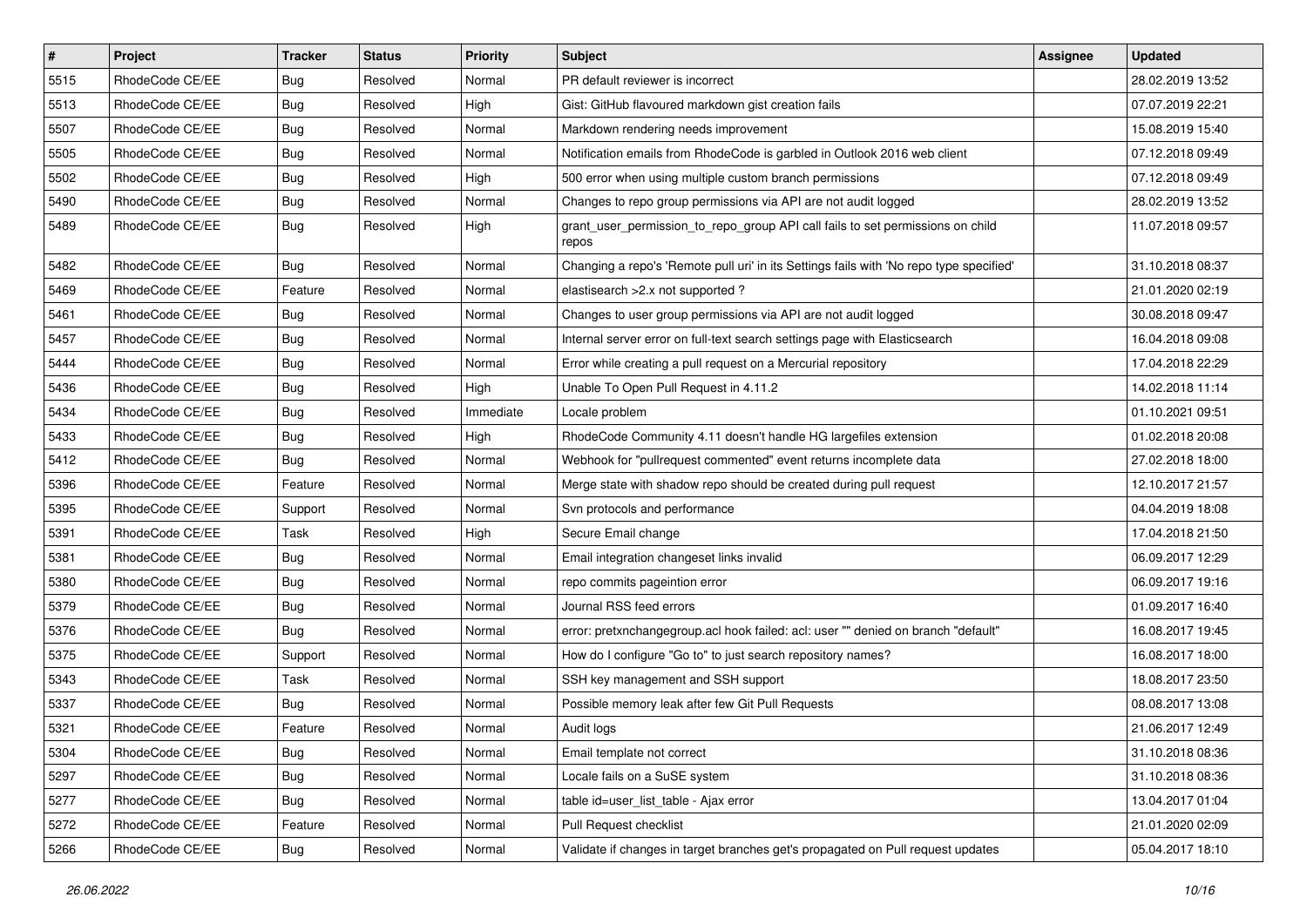| $\vert$ # | Project         | <b>Tracker</b> | <b>Status</b> | <b>Priority</b> | <b>Subject</b>                                                                          | <b>Assignee</b> | <b>Updated</b>   |
|-----------|-----------------|----------------|---------------|-----------------|-----------------------------------------------------------------------------------------|-----------------|------------------|
| 5515      | RhodeCode CE/EE | <b>Bug</b>     | Resolved      | Normal          | PR default reviewer is incorrect                                                        |                 | 28.02.2019 13:52 |
| 5513      | RhodeCode CE/EE | <b>Bug</b>     | Resolved      | High            | Gist: GitHub flavoured markdown gist creation fails                                     |                 | 07.07.2019 22:21 |
| 5507      | RhodeCode CE/EE | <b>Bug</b>     | Resolved      | Normal          | Markdown rendering needs improvement                                                    |                 | 15.08.2019 15:40 |
| 5505      | RhodeCode CE/EE | <b>Bug</b>     | Resolved      | Normal          | Notification emails from RhodeCode is garbled in Outlook 2016 web client                |                 | 07.12.2018 09:49 |
| 5502      | RhodeCode CE/EE | <b>Bug</b>     | Resolved      | High            | 500 error when using multiple custom branch permissions                                 |                 | 07.12.2018 09:49 |
| 5490      | RhodeCode CE/EE | <b>Bug</b>     | Resolved      | Normal          | Changes to repo group permissions via API are not audit logged                          |                 | 28.02.2019 13:52 |
| 5489      | RhodeCode CE/EE | Bug            | Resolved      | High            | grant_user_permission_to_repo_group API call fails to set permissions on child<br>repos |                 | 11.07.2018 09:57 |
| 5482      | RhodeCode CE/EE | Bug            | Resolved      | Normal          | Changing a repo's 'Remote pull uri' in its Settings fails with 'No repo type specified' |                 | 31.10.2018 08:37 |
| 5469      | RhodeCode CE/EE | Feature        | Resolved      | Normal          | elastisearch > 2.x not supported?                                                       |                 | 21.01.2020 02:19 |
| 5461      | RhodeCode CE/EE | Bug            | Resolved      | Normal          | Changes to user group permissions via API are not audit logged                          |                 | 30.08.2018 09:47 |
| 5457      | RhodeCode CE/EE | <b>Bug</b>     | Resolved      | Normal          | Internal server error on full-text search settings page with Elasticsearch              |                 | 16.04.2018 09:08 |
| 5444      | RhodeCode CE/EE | <b>Bug</b>     | Resolved      | Normal          | Error while creating a pull request on a Mercurial repository                           |                 | 17.04.2018 22:29 |
| 5436      | RhodeCode CE/EE | <b>Bug</b>     | Resolved      | High            | Unable To Open Pull Request in 4.11.2                                                   |                 | 14.02.2018 11:14 |
| 5434      | RhodeCode CE/EE | <b>Bug</b>     | Resolved      | Immediate       | Locale problem                                                                          |                 | 01.10.2021 09:51 |
| 5433      | RhodeCode CE/EE | <b>Bug</b>     | Resolved      | High            | RhodeCode Community 4.11 doesn't handle HG largefiles extension                         |                 | 01.02.2018 20:08 |
| 5412      | RhodeCode CE/EE | <b>Bug</b>     | Resolved      | Normal          | Webhook for "pullrequest commented" event returns incomplete data                       |                 | 27.02.2018 18:00 |
| 5396      | RhodeCode CE/EE | Feature        | Resolved      | Normal          | Merge state with shadow repo should be created during pull request                      |                 | 12.10.2017 21:57 |
| 5395      | RhodeCode CE/EE | Support        | Resolved      | Normal          | Svn protocols and performance                                                           |                 | 04.04.2019 18:08 |
| 5391      | RhodeCode CE/EE | Task           | Resolved      | High            | Secure Email change                                                                     |                 | 17.04.2018 21:50 |
| 5381      | RhodeCode CE/EE | <b>Bug</b>     | Resolved      | Normal          | Email integration changeset links invalid                                               |                 | 06.09.2017 12:29 |
| 5380      | RhodeCode CE/EE | <b>Bug</b>     | Resolved      | Normal          | repo commits pageintion error                                                           |                 | 06.09.2017 19:16 |
| 5379      | RhodeCode CE/EE | <b>Bug</b>     | Resolved      | Normal          | Journal RSS feed errors                                                                 |                 | 01.09.2017 16:40 |
| 5376      | RhodeCode CE/EE | Bug            | Resolved      | Normal          | error: pretxnchangegroup.acl hook failed: acl: user "" denied on branch "default"       |                 | 16.08.2017 19:45 |
| 5375      | RhodeCode CE/EE | Support        | Resolved      | Normal          | How do I configure "Go to" to just search repository names?                             |                 | 16.08.2017 18:00 |
| 5343      | RhodeCode CE/EE | Task           | Resolved      | Normal          | SSH key management and SSH support                                                      |                 | 18.08.2017 23:50 |
| 5337      | RhodeCode CE/EE | <b>Bug</b>     | Resolved      | Normal          | Possible memory leak after few Git Pull Requests                                        |                 | 08.08.2017 13:08 |
| 5321      | RhodeCode CE/EE | Feature        | Resolved      | Normal          | Audit logs                                                                              |                 | 21.06.2017 12:49 |
| 5304      | RhodeCode CE/EE | <b>Bug</b>     | Resolved      | Normal          | Email template not correct                                                              |                 | 31.10.2018 08:36 |
| 5297      | RhodeCode CE/EE | <b>Bug</b>     | Resolved      | Normal          | Locale fails on a SuSE system                                                           |                 | 31.10.2018 08:36 |
| 5277      | RhodeCode CE/EE | <b>Bug</b>     | Resolved      | Normal          | table id=user_list_table - Ajax error                                                   |                 | 13.04.2017 01:04 |
| 5272      | RhodeCode CE/EE | Feature        | Resolved      | Normal          | Pull Request checklist                                                                  |                 | 21.01.2020 02:09 |
| 5266      | RhodeCode CE/EE | Bug            | Resolved      | Normal          | Validate if changes in target branches get's propagated on Pull request updates         |                 | 05.04.2017 18:10 |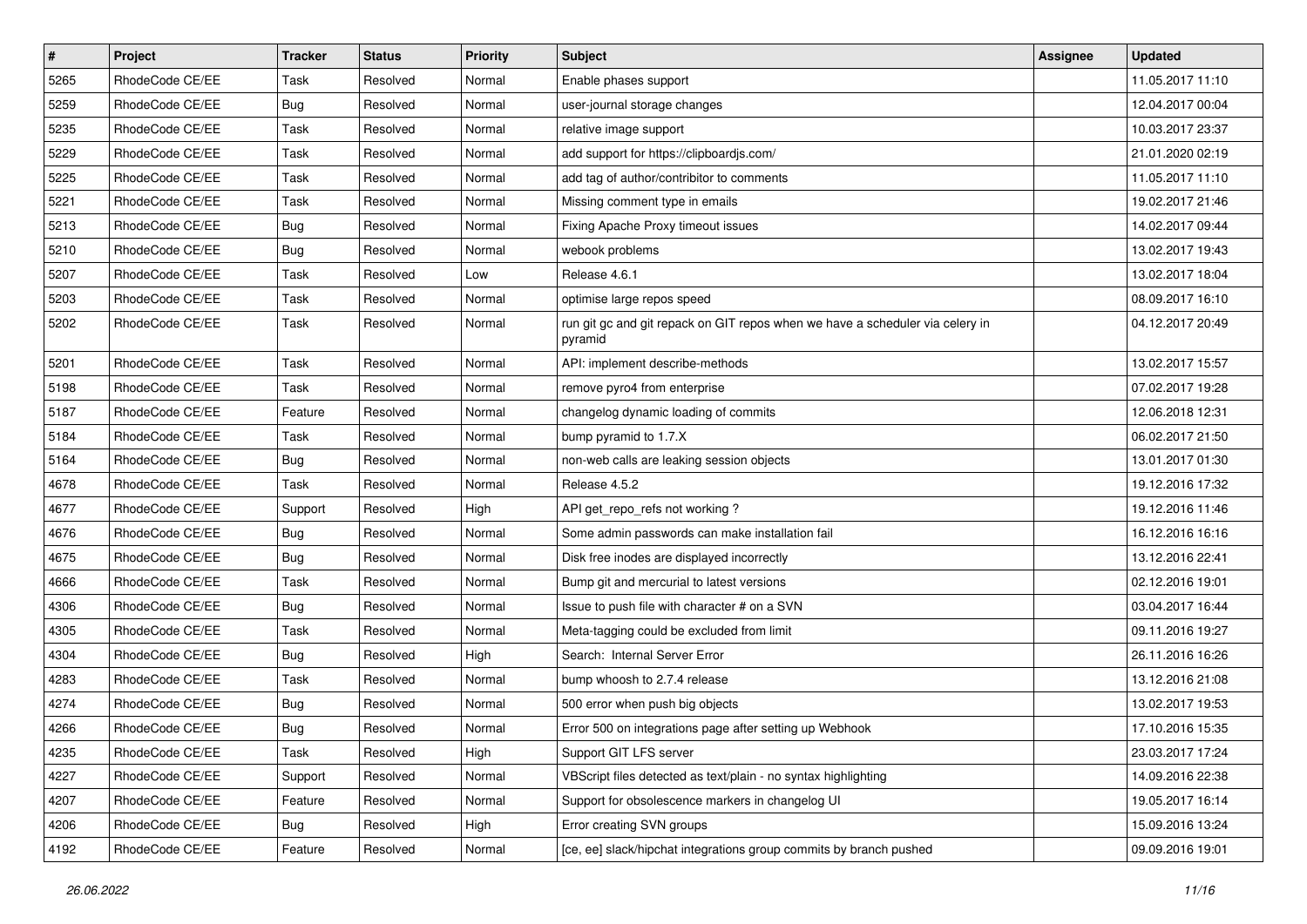| $\vert$ # | Project         | <b>Tracker</b> | <b>Status</b> | <b>Priority</b> | <b>Subject</b>                                                                           | <b>Assignee</b> | <b>Updated</b>   |
|-----------|-----------------|----------------|---------------|-----------------|------------------------------------------------------------------------------------------|-----------------|------------------|
| 5265      | RhodeCode CE/EE | Task           | Resolved      | Normal          | Enable phases support                                                                    |                 | 11.05.2017 11:10 |
| 5259      | RhodeCode CE/EE | Bug            | Resolved      | Normal          | user-journal storage changes                                                             |                 | 12.04.2017 00:04 |
| 5235      | RhodeCode CE/EE | Task           | Resolved      | Normal          | relative image support                                                                   |                 | 10.03.2017 23:37 |
| 5229      | RhodeCode CE/EE | Task           | Resolved      | Normal          | add support for https://clipboardjs.com/                                                 |                 | 21.01.2020 02:19 |
| 5225      | RhodeCode CE/EE | Task           | Resolved      | Normal          | add tag of author/contribitor to comments                                                |                 | 11.05.2017 11:10 |
| 5221      | RhodeCode CE/EE | Task           | Resolved      | Normal          | Missing comment type in emails                                                           |                 | 19.02.2017 21:46 |
| 5213      | RhodeCode CE/EE | Bug            | Resolved      | Normal          | Fixing Apache Proxy timeout issues                                                       |                 | 14.02.2017 09:44 |
| 5210      | RhodeCode CE/EE | <b>Bug</b>     | Resolved      | Normal          | webook problems                                                                          |                 | 13.02.2017 19:43 |
| 5207      | RhodeCode CE/EE | Task           | Resolved      | Low             | Release 4.6.1                                                                            |                 | 13.02.2017 18:04 |
| 5203      | RhodeCode CE/EE | Task           | Resolved      | Normal          | optimise large repos speed                                                               |                 | 08.09.2017 16:10 |
| 5202      | RhodeCode CE/EE | Task           | Resolved      | Normal          | run git gc and git repack on GIT repos when we have a scheduler via celery in<br>pyramid |                 | 04.12.2017 20:49 |
| 5201      | RhodeCode CE/EE | Task           | Resolved      | Normal          | API: implement describe-methods                                                          |                 | 13.02.2017 15:57 |
| 5198      | RhodeCode CE/EE | Task           | Resolved      | Normal          | remove pyro4 from enterprise                                                             |                 | 07.02.2017 19:28 |
| 5187      | RhodeCode CE/EE | Feature        | Resolved      | Normal          | changelog dynamic loading of commits                                                     |                 | 12.06.2018 12:31 |
| 5184      | RhodeCode CE/EE | Task           | Resolved      | Normal          | bump pyramid to 1.7.X                                                                    |                 | 06.02.2017 21:50 |
| 5164      | RhodeCode CE/EE | Bug            | Resolved      | Normal          | non-web calls are leaking session objects                                                |                 | 13.01.2017 01:30 |
| 4678      | RhodeCode CE/EE | Task           | Resolved      | Normal          | Release 4.5.2                                                                            |                 | 19.12.2016 17:32 |
| 4677      | RhodeCode CE/EE | Support        | Resolved      | High            | API get_repo_refs not working?                                                           |                 | 19.12.2016 11:46 |
| 4676      | RhodeCode CE/EE | Bug            | Resolved      | Normal          | Some admin passwords can make installation fail                                          |                 | 16.12.2016 16:16 |
| 4675      | RhodeCode CE/EE | <b>Bug</b>     | Resolved      | Normal          | Disk free inodes are displayed incorrectly                                               |                 | 13.12.2016 22:41 |
| 4666      | RhodeCode CE/EE | Task           | Resolved      | Normal          | Bump git and mercurial to latest versions                                                |                 | 02.12.2016 19:01 |
| 4306      | RhodeCode CE/EE | <b>Bug</b>     | Resolved      | Normal          | Issue to push file with character # on a SVN                                             |                 | 03.04.2017 16:44 |
| 4305      | RhodeCode CE/EE | Task           | Resolved      | Normal          | Meta-tagging could be excluded from limit                                                |                 | 09.11.2016 19:27 |
| 4304      | RhodeCode CE/EE | <b>Bug</b>     | Resolved      | High            | Search: Internal Server Error                                                            |                 | 26.11.2016 16:26 |
| 4283      | RhodeCode CE/EE | Task           | Resolved      | Normal          | bump whoosh to 2.7.4 release                                                             |                 | 13.12.2016 21:08 |
| 4274      | RhodeCode CE/EE | <b>Bug</b>     | Resolved      | Normal          | 500 error when push big objects                                                          |                 | 13.02.2017 19:53 |
| 4266      | RhodeCode CE/EE | <b>Bug</b>     | Resolved      | Normal          | Error 500 on integrations page after setting up Webhook                                  |                 | 17.10.2016 15:35 |
| 4235      | RhodeCode CE/EE | Task           | Resolved      | High            | Support GIT LFS server                                                                   |                 | 23.03.2017 17:24 |
| 4227      | RhodeCode CE/EE | Support        | Resolved      | Normal          | VBScript files detected as text/plain - no syntax highlighting                           |                 | 14.09.2016 22:38 |
| 4207      | RhodeCode CE/EE | Feature        | Resolved      | Normal          | Support for obsolescence markers in changelog UI                                         |                 | 19.05.2017 16:14 |
| 4206      | RhodeCode CE/EE | <b>Bug</b>     | Resolved      | High            | Error creating SVN groups                                                                |                 | 15.09.2016 13:24 |
| 4192      | RhodeCode CE/EE | Feature        | Resolved      | Normal          | [ce, ee] slack/hipchat integrations group commits by branch pushed                       |                 | 09.09.2016 19:01 |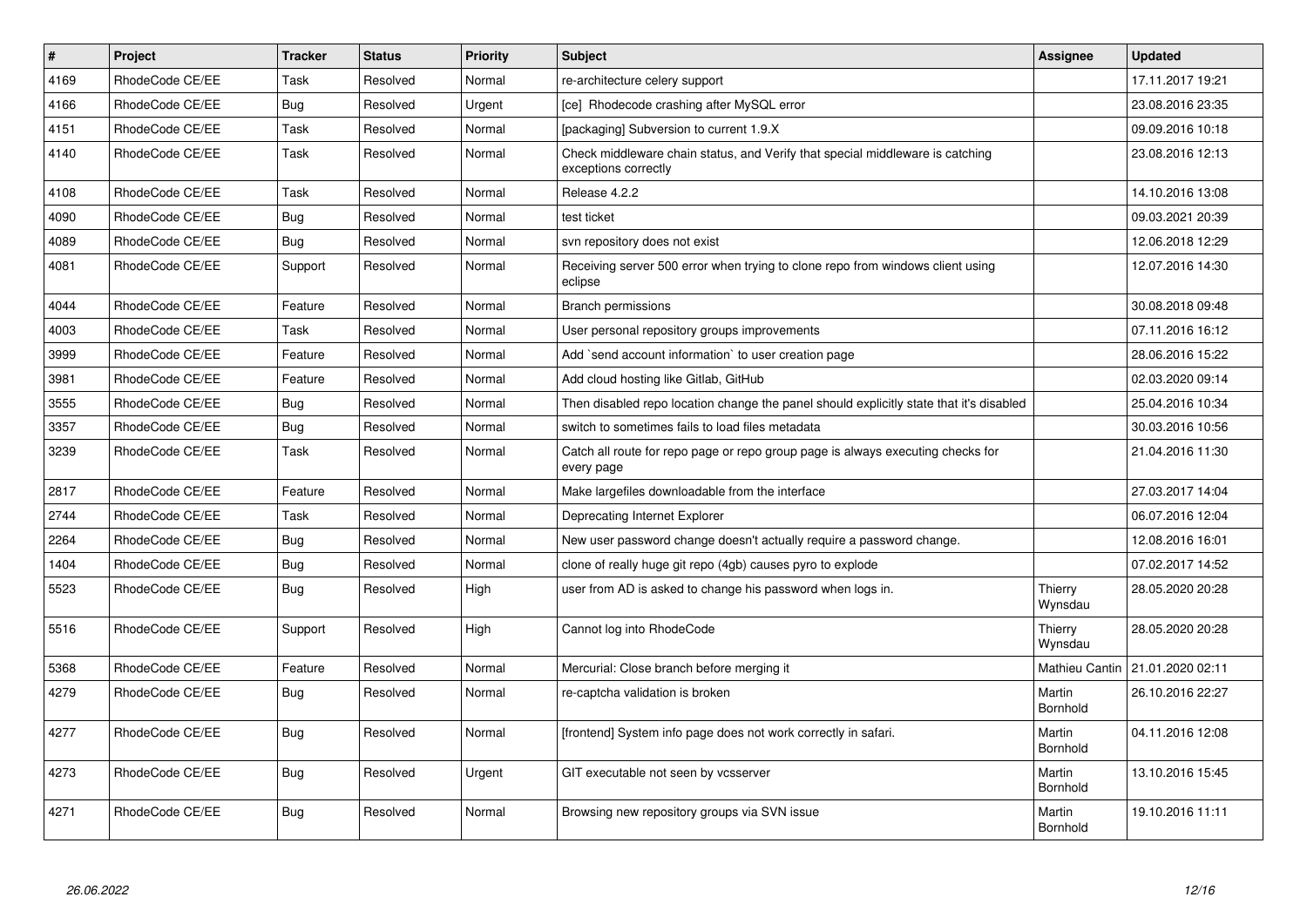| $\vert$ # | <b>Project</b>  | <b>Tracker</b> | <b>Status</b> | <b>Priority</b> | <b>Subject</b>                                                                                        | Assignee           | <b>Updated</b>   |
|-----------|-----------------|----------------|---------------|-----------------|-------------------------------------------------------------------------------------------------------|--------------------|------------------|
| 4169      | RhodeCode CE/EE | Task           | Resolved      | Normal          | re-architecture celery support                                                                        |                    | 17.11.2017 19:21 |
| 4166      | RhodeCode CE/EE | <b>Bug</b>     | Resolved      | Urgent          | [ce] Rhodecode crashing after MySQL error                                                             |                    | 23.08.2016 23:35 |
| 4151      | RhodeCode CE/EE | Task           | Resolved      | Normal          | [packaging] Subversion to current 1.9.X                                                               |                    | 09.09.2016 10:18 |
| 4140      | RhodeCode CE/EE | Task           | Resolved      | Normal          | Check middleware chain status, and Verify that special middleware is catching<br>exceptions correctly |                    | 23.08.2016 12:13 |
| 4108      | RhodeCode CE/EE | Task           | Resolved      | Normal          | Release 4.2.2                                                                                         |                    | 14.10.2016 13:08 |
| 4090      | RhodeCode CE/EE | Bug            | Resolved      | Normal          | test ticket                                                                                           |                    | 09.03.2021 20:39 |
| 4089      | RhodeCode CE/EE | Bug            | Resolved      | Normal          | svn repository does not exist                                                                         |                    | 12.06.2018 12:29 |
| 4081      | RhodeCode CE/EE | Support        | Resolved      | Normal          | Receiving server 500 error when trying to clone repo from windows client using<br>eclipse             |                    | 12.07.2016 14:30 |
| 4044      | RhodeCode CE/EE | Feature        | Resolved      | Normal          | <b>Branch permissions</b>                                                                             |                    | 30.08.2018 09:48 |
| 4003      | RhodeCode CE/EE | Task           | Resolved      | Normal          | User personal repository groups improvements                                                          |                    | 07.11.2016 16:12 |
| 3999      | RhodeCode CE/EE | Feature        | Resolved      | Normal          | Add `send account information` to user creation page                                                  |                    | 28.06.2016 15:22 |
| 3981      | RhodeCode CE/EE | Feature        | Resolved      | Normal          | Add cloud hosting like Gitlab, GitHub                                                                 |                    | 02.03.2020 09:14 |
| 3555      | RhodeCode CE/EE | Bug            | Resolved      | Normal          | Then disabled repo location change the panel should explicitly state that it's disabled               |                    | 25.04.2016 10:34 |
| 3357      | RhodeCode CE/EE | Bug            | Resolved      | Normal          | switch to sometimes fails to load files metadata                                                      |                    | 30.03.2016 10:56 |
| 3239      | RhodeCode CE/EE | Task           | Resolved      | Normal          | Catch all route for repo page or repo group page is always executing checks for<br>every page         |                    | 21.04.2016 11:30 |
| 2817      | RhodeCode CE/EE | Feature        | Resolved      | Normal          | Make largefiles downloadable from the interface                                                       |                    | 27.03.2017 14:04 |
| 2744      | RhodeCode CE/EE | Task           | Resolved      | Normal          | Deprecating Internet Explorer                                                                         |                    | 06.07.2016 12:04 |
| 2264      | RhodeCode CE/EE | Bug            | Resolved      | Normal          | New user password change doesn't actually require a password change.                                  |                    | 12.08.2016 16:01 |
| 1404      | RhodeCode CE/EE | Bug            | Resolved      | Normal          | clone of really huge git repo (4gb) causes pyro to explode                                            |                    | 07.02.2017 14:52 |
| 5523      | RhodeCode CE/EE | Bug            | Resolved      | High            | user from AD is asked to change his password when logs in.                                            | Thierry<br>Wynsdau | 28.05.2020 20:28 |
| 5516      | RhodeCode CE/EE | Support        | Resolved      | High            | Cannot log into RhodeCode                                                                             | Thierry<br>Wynsdau | 28.05.2020 20:28 |
| 5368      | RhodeCode CE/EE | Feature        | Resolved      | Normal          | Mercurial: Close branch before merging it                                                             | Mathieu Cantin     | 21.01.2020 02:11 |
| 4279      | RhodeCode CE/EE | <b>Bug</b>     | Resolved      | Normal          | re-captcha validation is broken                                                                       | Martin<br>Bornhold | 26.10.2016 22:27 |
| 4277      | RhodeCode CE/EE | Bug            | Resolved      | Normal          | [frontend] System info page does not work correctly in safari.                                        | Martin<br>Bornhold | 04.11.2016 12:08 |
| 4273      | RhodeCode CE/EE | Bug            | Resolved      | Urgent          | GIT executable not seen by vcsserver                                                                  | Martin<br>Bornhold | 13.10.2016 15:45 |
| 4271      | RhodeCode CE/EE | Bug            | Resolved      | Normal          | Browsing new repository groups via SVN issue                                                          | Martin<br>Bornhold | 19.10.2016 11:11 |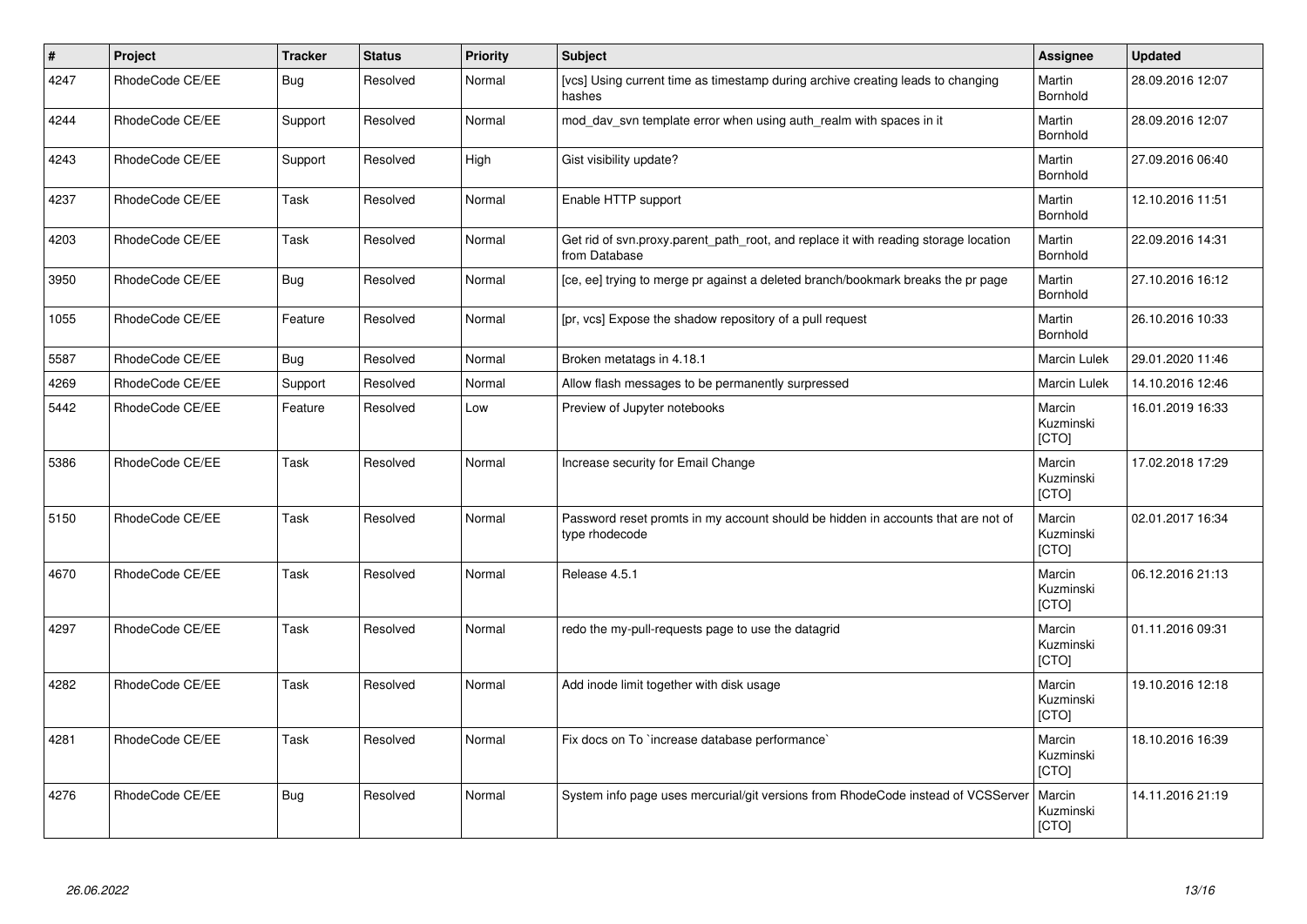| $\vert$ # | Project         | <b>Tracker</b> | <b>Status</b> | <b>Priority</b> | <b>Subject</b>                                                                                       | Assignee                     | <b>Updated</b>   |
|-----------|-----------------|----------------|---------------|-----------------|------------------------------------------------------------------------------------------------------|------------------------------|------------------|
| 4247      | RhodeCode CE/EE | Bug            | Resolved      | Normal          | [vcs] Using current time as timestamp during archive creating leads to changing<br>hashes            | Martin<br>Bornhold           | 28.09.2016 12:07 |
| 4244      | RhodeCode CE/EE | Support        | Resolved      | Normal          | mod day syn template error when using auth realm with spaces in it                                   | Martin<br>Bornhold           | 28.09.2016 12:07 |
| 4243      | RhodeCode CE/EE | Support        | Resolved      | High            | Gist visibility update?                                                                              | Martin<br>Bornhold           | 27.09.2016 06:40 |
| 4237      | RhodeCode CE/EE | Task           | Resolved      | Normal          | Enable HTTP support                                                                                  | Martin<br>Bornhold           | 12.10.2016 11:51 |
| 4203      | RhodeCode CE/EE | Task           | Resolved      | Normal          | Get rid of svn.proxy.parent path root, and replace it with reading storage location<br>from Database | Martin<br>Bornhold           | 22.09.2016 14:31 |
| 3950      | RhodeCode CE/EE | Bug            | Resolved      | Normal          | [ce, ee] trying to merge pr against a deleted branch/bookmark breaks the pr page                     | Martin<br>Bornhold           | 27.10.2016 16:12 |
| 1055      | RhodeCode CE/EE | Feature        | Resolved      | Normal          | [pr, vcs] Expose the shadow repository of a pull request                                             | Martin<br>Bornhold           | 26.10.2016 10:33 |
| 5587      | RhodeCode CE/EE | Bug            | Resolved      | Normal          | Broken metatags in 4.18.1                                                                            | Marcin Lulek                 | 29.01.2020 11:46 |
| 4269      | RhodeCode CE/EE | Support        | Resolved      | Normal          | Allow flash messages to be permanently surpressed                                                    | Marcin Lulek                 | 14.10.2016 12:46 |
| 5442      | RhodeCode CE/EE | Feature        | Resolved      | Low             | Preview of Jupyter notebooks                                                                         | Marcin<br>Kuzminski<br>[CTO] | 16.01.2019 16:33 |
| 5386      | RhodeCode CE/EE | Task           | Resolved      | Normal          | Increase security for Email Change                                                                   | Marcin<br>Kuzminski<br>[CTO] | 17.02.2018 17:29 |
| 5150      | RhodeCode CE/EE | <b>Task</b>    | Resolved      | Normal          | Password reset promts in my account should be hidden in accounts that are not of<br>type rhodecode   | Marcin<br>Kuzminski<br>[CTO] | 02.01.2017 16:34 |
| 4670      | RhodeCode CE/EE | Task           | Resolved      | Normal          | Release 4.5.1                                                                                        | Marcin<br>Kuzminski<br>[CTO] | 06.12.2016 21:13 |
| 4297      | RhodeCode CE/EE | Task           | Resolved      | Normal          | redo the my-pull-requests page to use the datagrid                                                   | Marcin<br>Kuzminski<br>[CTO] | 01.11.2016 09:31 |
| 4282      | RhodeCode CE/EE | Task           | Resolved      | Normal          | Add inode limit together with disk usage                                                             | Marcin<br>Kuzminski<br>[CTO] | 19.10.2016 12:18 |
| 4281      | RhodeCode CE/EE | Task           | Resolved      | Normal          | Fix docs on To `increase database performance`                                                       | Marcin<br>Kuzminski<br>[CTO] | 18.10.2016 16:39 |
| 4276      | RhodeCode CE/EE | Bug            | Resolved      | Normal          | System info page uses mercurial/git versions from RhodeCode instead of VCSServer                     | Marcin<br>Kuzminski<br>[CTO] | 14.11.2016 21:19 |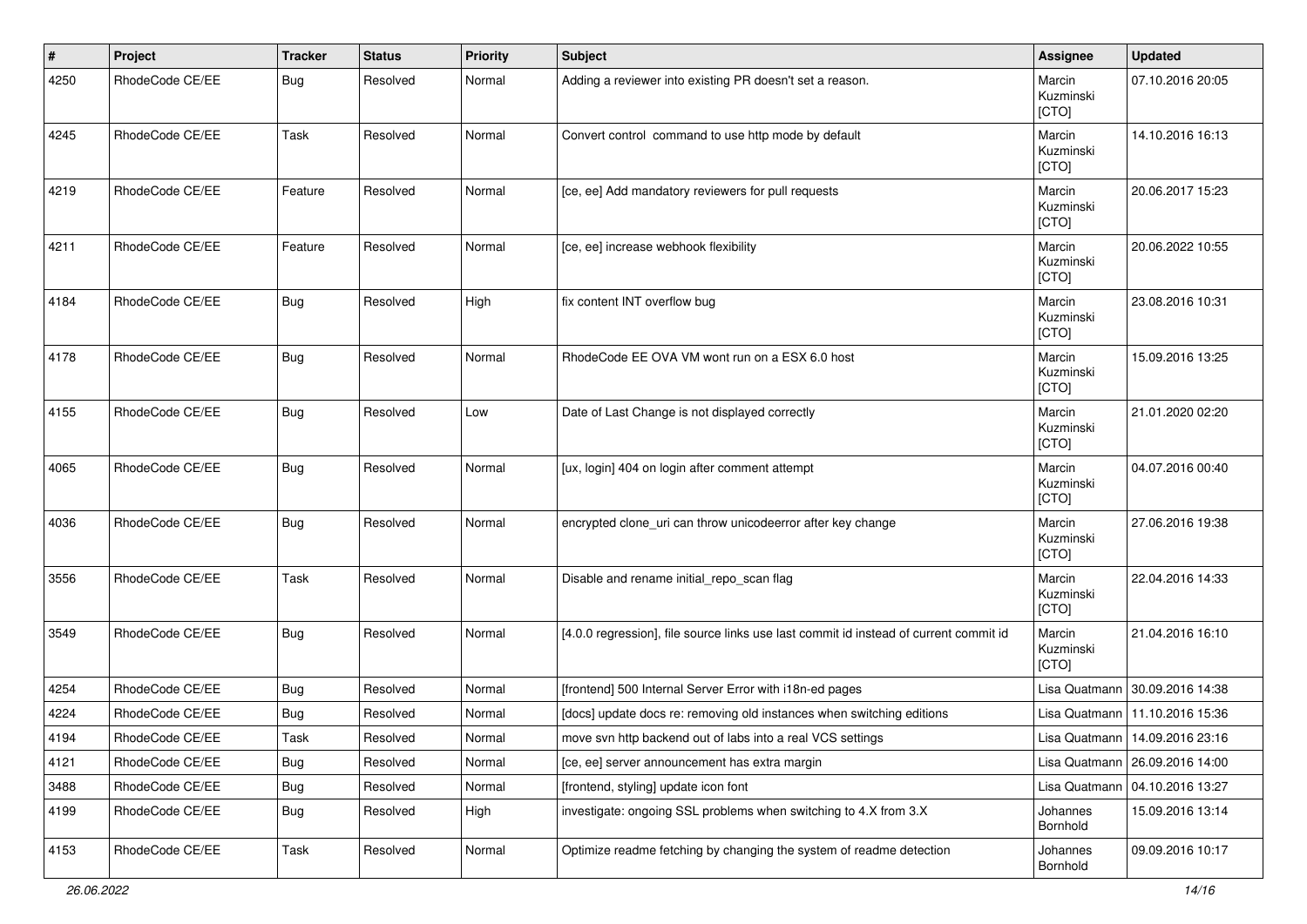| #    | Project         | <b>Tracker</b> | <b>Status</b> | <b>Priority</b> | <b>Subject</b>                                                                        | Assignee                     | <b>Updated</b>                   |
|------|-----------------|----------------|---------------|-----------------|---------------------------------------------------------------------------------------|------------------------------|----------------------------------|
| 4250 | RhodeCode CE/EE | Bug            | Resolved      | Normal          | Adding a reviewer into existing PR doesn't set a reason.                              | Marcin<br>Kuzminski<br>[CTO] | 07.10.2016 20:05                 |
| 4245 | RhodeCode CE/EE | Task           | Resolved      | Normal          | Convert control command to use http mode by default                                   | Marcin<br>Kuzminski<br>[CTO] | 14.10.2016 16:13                 |
| 4219 | RhodeCode CE/EE | Feature        | Resolved      | Normal          | [ce, ee] Add mandatory reviewers for pull requests                                    | Marcin<br>Kuzminski<br>[CTO] | 20.06.2017 15:23                 |
| 4211 | RhodeCode CE/EE | Feature        | Resolved      | Normal          | [ce, ee] increase webhook flexibility                                                 | Marcin<br>Kuzminski<br>[CTO] | 20.06.2022 10:55                 |
| 4184 | RhodeCode CE/EE | Bug            | Resolved      | High            | fix content INT overflow bug                                                          | Marcin<br>Kuzminski<br>[CTO] | 23.08.2016 10:31                 |
| 4178 | RhodeCode CE/EE | Bug            | Resolved      | Normal          | RhodeCode EE OVA VM wont run on a ESX 6.0 host                                        | Marcin<br>Kuzminski<br>[CTO] | 15.09.2016 13:25                 |
| 4155 | RhodeCode CE/EE | Bug            | Resolved      | Low             | Date of Last Change is not displayed correctly                                        | Marcin<br>Kuzminski<br>[CTO] | 21.01.2020 02:20                 |
| 4065 | RhodeCode CE/EE | Bug            | Resolved      | Normal          | [ux, login] 404 on login after comment attempt                                        | Marcin<br>Kuzminski<br>[CTO] | 04.07.2016 00:40                 |
| 4036 | RhodeCode CE/EE | Bug            | Resolved      | Normal          | encrypted clone_uri can throw unicodeerror after key change                           | Marcin<br>Kuzminski<br>[CTO] | 27.06.2016 19:38                 |
| 3556 | RhodeCode CE/EE | Task           | Resolved      | Normal          | Disable and rename initial_repo_scan flag                                             | Marcin<br>Kuzminski<br>[CTO] | 22.04.2016 14:33                 |
| 3549 | RhodeCode CE/EE | Bug            | Resolved      | Normal          | [4.0.0 regression], file source links use last commit id instead of current commit id | Marcin<br>Kuzminski<br>[CTO] | 21.04.2016 16:10                 |
| 4254 | RhodeCode CE/EE | Bug            | Resolved      | Normal          | [frontend] 500 Internal Server Error with i18n-ed pages                               |                              | Lisa Quatmann 30.09.2016 14:38   |
| 4224 | RhodeCode CE/EE | Bug            | Resolved      | Normal          | [docs] update docs re: removing old instances when switching editions                 |                              | Lisa Quatmann   11.10.2016 15:36 |
| 4194 | RhodeCode CE/EE | Task           | Resolved      | Normal          | move svn http backend out of labs into a real VCS settings                            |                              | Lisa Quatmann   14.09.2016 23:16 |
| 4121 | RhodeCode CE/EE | Bug            | Resolved      | Normal          | [ce, ee] server announcement has extra margin                                         |                              | Lisa Quatmann   26.09.2016 14:00 |
| 3488 | RhodeCode CE/EE | Bug            | Resolved      | Normal          | [frontend, styling] update icon font                                                  |                              | Lisa Quatmann   04.10.2016 13:27 |
| 4199 | RhodeCode CE/EE | Bug            | Resolved      | High            | investigate: ongoing SSL problems when switching to 4.X from 3.X                      | Johannes<br>Bornhold         | 15.09.2016 13:14                 |
| 4153 | RhodeCode CE/EE | Task           | Resolved      | Normal          | Optimize readme fetching by changing the system of readme detection                   | Johannes<br>Bornhold         | 09.09.2016 10:17                 |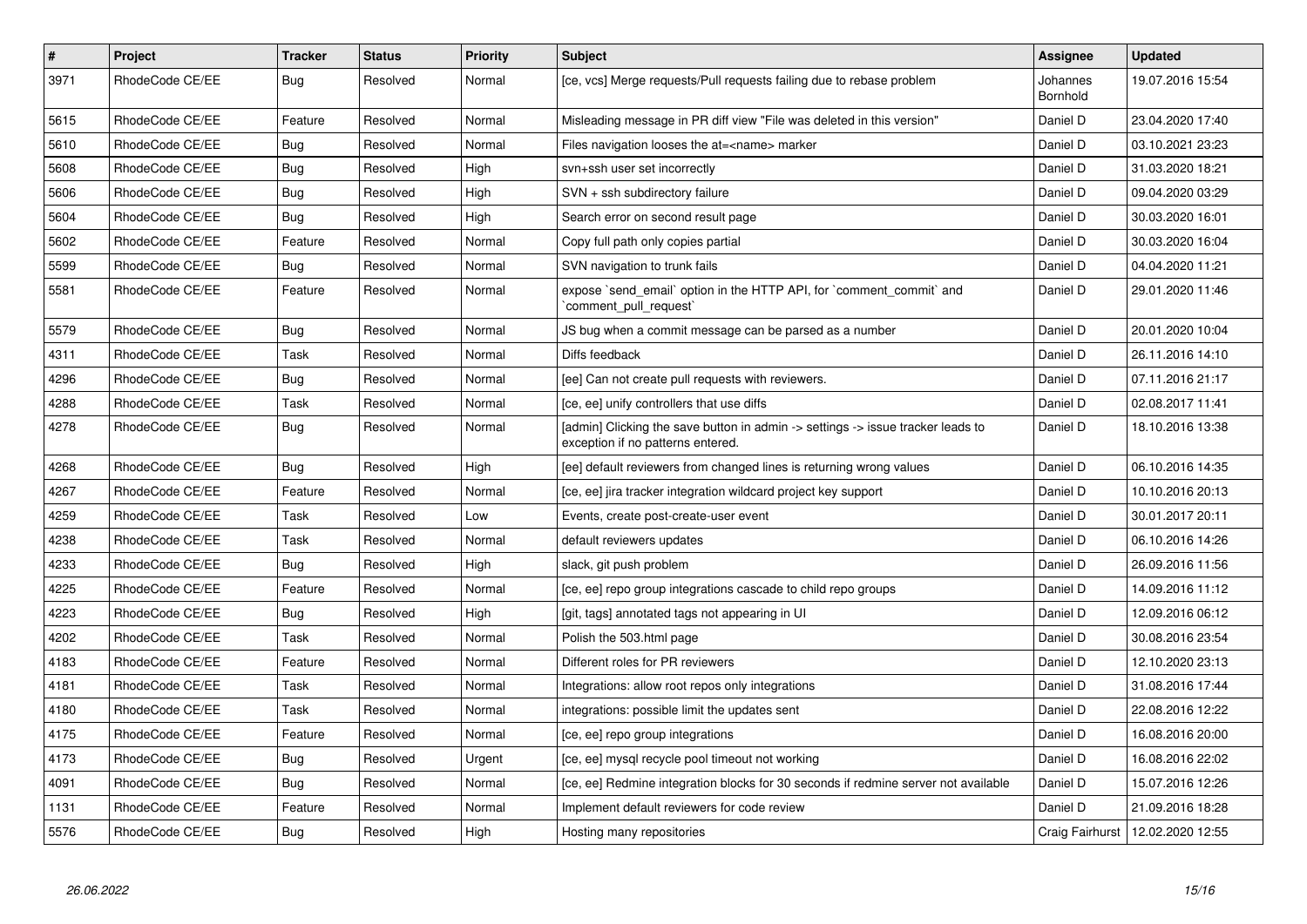| $\#$ | <b>Project</b>  | <b>Tracker</b> | <b>Status</b> | Priority | <b>Subject</b>                                                                                                       | <b>Assignee</b>      | <b>Updated</b>   |
|------|-----------------|----------------|---------------|----------|----------------------------------------------------------------------------------------------------------------------|----------------------|------------------|
| 3971 | RhodeCode CE/EE | <b>Bug</b>     | Resolved      | Normal   | [ce, vcs] Merge requests/Pull requests failing due to rebase problem                                                 | Johannes<br>Bornhold | 19.07.2016 15:54 |
| 5615 | RhodeCode CE/EE | Feature        | Resolved      | Normal   | Misleading message in PR diff view "File was deleted in this version"                                                | Daniel D             | 23.04.2020 17:40 |
| 5610 | RhodeCode CE/EE | <b>Bug</b>     | Resolved      | Normal   | Files navigation looses the at= <name> marker</name>                                                                 | Daniel D             | 03.10.2021 23:23 |
| 5608 | RhodeCode CE/EE | Bug            | Resolved      | High     | svn+ssh user set incorrectly                                                                                         | Daniel D             | 31.03.2020 18:21 |
| 5606 | RhodeCode CE/EE | <b>Bug</b>     | Resolved      | High     | SVN + ssh subdirectory failure                                                                                       | Daniel D             | 09.04.2020 03:29 |
| 5604 | RhodeCode CE/EE | Bug            | Resolved      | High     | Search error on second result page                                                                                   | Daniel D             | 30.03.2020 16:01 |
| 5602 | RhodeCode CE/EE | Feature        | Resolved      | Normal   | Copy full path only copies partial                                                                                   | Daniel D             | 30.03.2020 16:04 |
| 5599 | RhodeCode CE/EE | <b>Bug</b>     | Resolved      | Normal   | SVN navigation to trunk fails                                                                                        | Daniel D             | 04.04.2020 11:21 |
| 5581 | RhodeCode CE/EE | Feature        | Resolved      | Normal   | expose `send_email` option in the HTTP API, for `comment_commit` and<br>comment pull request                         | Daniel D             | 29.01.2020 11:46 |
| 5579 | RhodeCode CE/EE | <b>Bug</b>     | Resolved      | Normal   | JS bug when a commit message can be parsed as a number                                                               | Daniel D             | 20.01.2020 10:04 |
| 4311 | RhodeCode CE/EE | Task           | Resolved      | Normal   | Diffs feedback                                                                                                       | Daniel D             | 26.11.2016 14:10 |
| 4296 | RhodeCode CE/EE | <b>Bug</b>     | Resolved      | Normal   | [ee] Can not create pull requests with reviewers.                                                                    | Daniel D             | 07.11.2016 21:17 |
| 4288 | RhodeCode CE/EE | Task           | Resolved      | Normal   | [ce, ee] unify controllers that use diffs                                                                            | Daniel D             | 02.08.2017 11:41 |
| 4278 | RhodeCode CE/EE | <b>Bug</b>     | Resolved      | Normal   | [admin] Clicking the save button in admin -> settings -> issue tracker leads to<br>exception if no patterns entered. | Daniel D             | 18.10.2016 13:38 |
| 4268 | RhodeCode CE/EE | <b>Bug</b>     | Resolved      | High     | [ee] default reviewers from changed lines is returning wrong values                                                  | Daniel D             | 06.10.2016 14:35 |
| 4267 | RhodeCode CE/EE | Feature        | Resolved      | Normal   | [ce, ee] jira tracker integration wildcard project key support                                                       | Daniel D             | 10.10.2016 20:13 |
| 4259 | RhodeCode CE/EE | Task           | Resolved      | Low      | Events, create post-create-user event                                                                                | Daniel D             | 30.01.2017 20:11 |
| 4238 | RhodeCode CE/EE | Task           | Resolved      | Normal   | default reviewers updates                                                                                            | Daniel D             | 06.10.2016 14:26 |
| 4233 | RhodeCode CE/EE | <b>Bug</b>     | Resolved      | High     | slack, git push problem                                                                                              | Daniel D             | 26.09.2016 11:56 |
| 4225 | RhodeCode CE/EE | Feature        | Resolved      | Normal   | [ce, ee] repo group integrations cascade to child repo groups                                                        | Daniel D             | 14.09.2016 11:12 |
| 4223 | RhodeCode CE/EE | Bug            | Resolved      | High     | [git, tags] annotated tags not appearing in UI                                                                       | Daniel D             | 12.09.2016 06:12 |
| 4202 | RhodeCode CE/EE | Task           | Resolved      | Normal   | Polish the 503.html page                                                                                             | Daniel D             | 30.08.2016 23:54 |
| 4183 | RhodeCode CE/EE | Feature        | Resolved      | Normal   | Different roles for PR reviewers                                                                                     | Daniel D             | 12.10.2020 23:13 |
| 4181 | RhodeCode CE/EE | Task           | Resolved      | Normal   | Integrations: allow root repos only integrations                                                                     | Daniel D             | 31.08.2016 17:44 |
| 4180 | RhodeCode CE/EE | Task           | Resolved      | Normal   | integrations: possible limit the updates sent                                                                        | Daniel D             | 22.08.2016 12:22 |
| 4175 | RhodeCode CE/EE | Feature        | Resolved      | Normal   | [ce, ee] repo group integrations                                                                                     | Daniel D             | 16.08.2016 20:00 |
| 4173 | RhodeCode CE/EE | <b>Bug</b>     | Resolved      | Urgent   | [ce, ee] mysql recycle pool timeout not working                                                                      | Daniel D             | 16.08.2016 22:02 |
| 4091 | RhodeCode CE/EE | Bug            | Resolved      | Normal   | [ce, ee] Redmine integration blocks for 30 seconds if redmine server not available                                   | Daniel D             | 15.07.2016 12:26 |
| 1131 | RhodeCode CE/EE | Feature        | Resolved      | Normal   | Implement default reviewers for code review                                                                          | Daniel D             | 21.09.2016 18:28 |
| 5576 | RhodeCode CE/EE | <b>Bug</b>     | Resolved      | High     | Hosting many repositories                                                                                            | Craig Fairhurst      | 12.02.2020 12:55 |